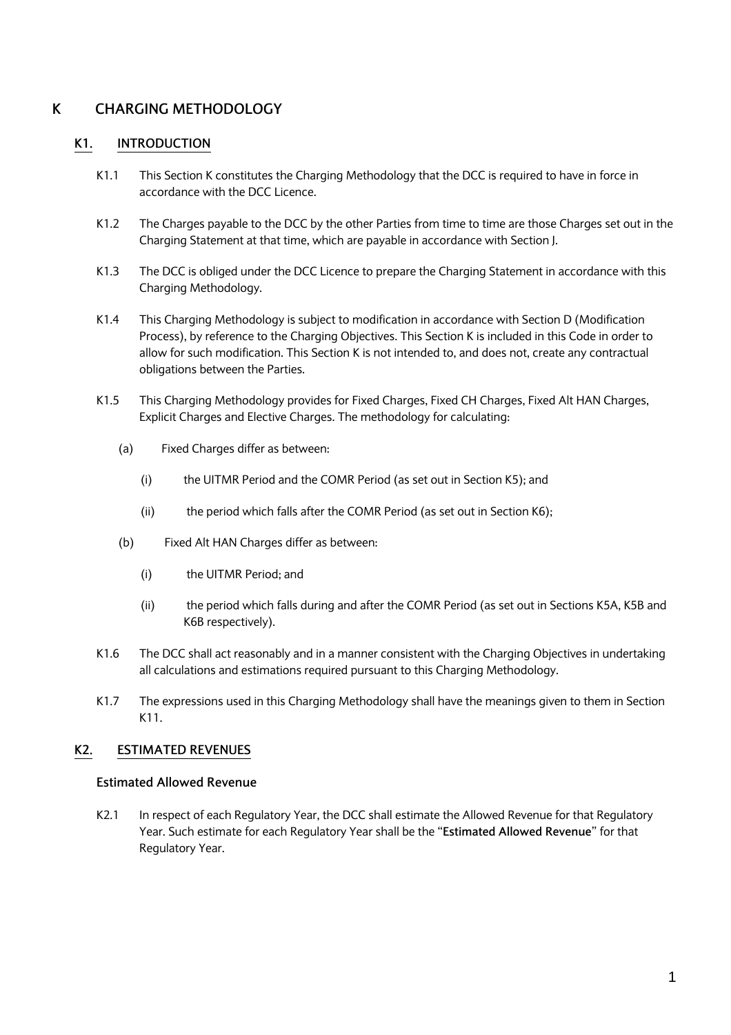# **K CHARGING METHODOLOGY**

## **K1. INTRODUCTION**

- K1.1 This Section K constitutes the Charging Methodology that the DCC is required to have in force in accordance with the DCC Licence.
- K1.2 The Charges payable to the DCC by the other Parties from time to time are those Charges set out in the Charging Statement at that time, which are payable in accordance with Section J.
- K1.3 The DCC is obliged under the DCC Licence to prepare the Charging Statement in accordance with this Charging Methodology.
- K1.4 This Charging Methodology is subject to modification in accordance with Section D (Modification Process), by reference to the Charging Objectives. This Section K is included in this Code in order to allow for such modification. This Section K is not intended to, and does not, create any contractual obligations between the Parties.
- K1.5 This Charging Methodology provides for Fixed Charges, Fixed CH Charges, Fixed Alt HAN Charges, Explicit Charges and Elective Charges. The methodology for calculating:
	- (a) Fixed Charges differ as between:
		- (i) the UITMR Period and the COMR Period (as set out in Section K5); and
		- (ii) the period which falls after the COMR Period (as set out in Section K6);
	- (b) Fixed Alt HAN Charges differ as between:
		- (i) the UITMR Period; and
		- (ii) the period which falls during and after the COMR Period (as set out in Sections K5A, K5B and K6B respectively).
- K1.6 The DCC shall act reasonably and in a manner consistent with the Charging Objectives in undertaking all calculations and estimations required pursuant to this Charging Methodology.
- K1.7 The expressions used in this Charging Methodology shall have the meanings given to them in Section K11.

## **K2. ESTIMATED REVENUES**

#### **Estimated Allowed Revenue**

K2.1 In respect of each Regulatory Year, the DCC shall estimate the Allowed Revenue for that Regulatory Year. Such estimate for each Regulatory Year shall be the "**Estimated Allowed Revenue**" for that Regulatory Year.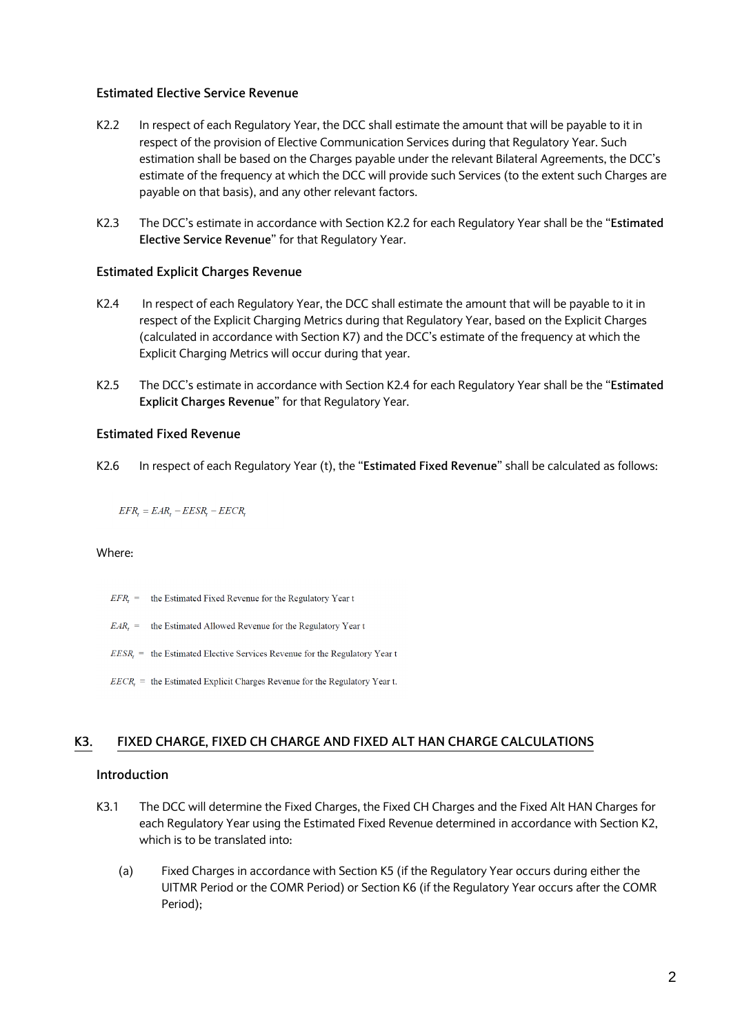### **Estimated Elective Service Revenue**

- K2.2 In respect of each Regulatory Year, the DCC shall estimate the amount that will be payable to it in respect of the provision of Elective Communication Services during that Regulatory Year. Such estimation shall be based on the Charges payable under the relevant Bilateral Agreements, the DCC's estimate of the frequency at which the DCC will provide such Services (to the extent such Charges are payable on that basis), and any other relevant factors.
- K2.3 The DCC's estimate in accordance with Section K2.2 for each Regulatory Year shall be the "**Estimated Elective Service Revenue**" for that Regulatory Year.

#### **Estimated Explicit Charges Revenue**

- K2.4 In respect of each Regulatory Year, the DCC shall estimate the amount that will be payable to it in respect of the Explicit Charging Metrics during that Regulatory Year, based on the Explicit Charges (calculated in accordance with Section K7) and the DCC's estimate of the frequency at which the Explicit Charging Metrics will occur during that year.
- K2.5 The DCC's estimate in accordance with Section K2.4 for each Regulatory Year shall be the "**Estimated Explicit Charges Revenue**" for that Regulatory Year.

#### **Estimated Fixed Revenue**

K2.6 In respect of each Regulatory Year (t), the "**Estimated Fixed Revenue**" shall be calculated as follows:

 $EFR$ <sub>r</sub> =  $EAR$ <sub>r</sub> -  $EESR$ <sub>r</sub> -  $EECR$ <sub>r</sub>

#### Where:

- $EFR$ <sub>r</sub> = the Estimated Fixed Revenue for the Regulatory Year t
- $EAR_t$  = the Estimated Allowed Revenue for the Regulatory Year t
- $EESR_t$  = the Estimated Elective Services Revenue for the Regulatory Year t
- $EECR$ , = the Estimated Explicit Charges Revenue for the Regulatory Year t.

#### **K3. FIXED CHARGE, FIXED CH CHARGE AND FIXED ALT HAN CHARGE CALCULATIONS**

#### **Introduction**

- K3.1 The DCC will determine the Fixed Charges, the Fixed CH Charges and the Fixed Alt HAN Charges for each Regulatory Year using the Estimated Fixed Revenue determined in accordance with Section K2, which is to be translated into:
	- (a) Fixed Charges in accordance with Section K5 (if the Regulatory Year occurs during either the UITMR Period or the COMR Period) or Section K6 (if the Regulatory Year occurs after the COMR Period);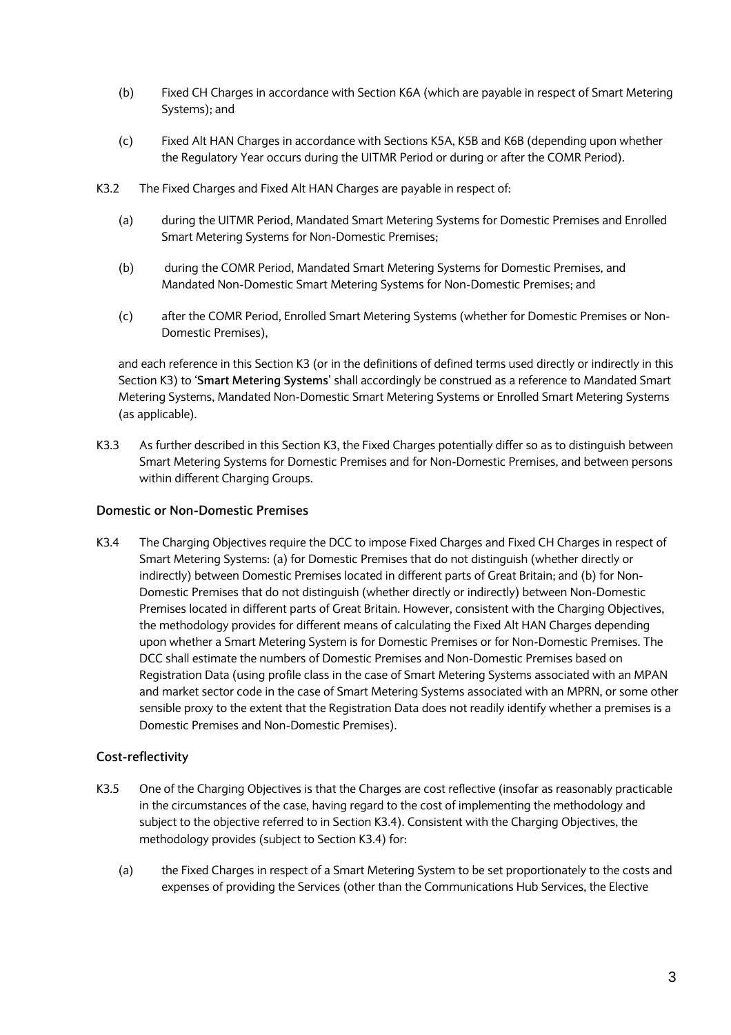- (b) Fixed CH Charges in accordance with Section K6A (which are payable in respect of Smart Metering Systems); and
- (c) Fixed Alt HAN Charges in accordance with Sections K5A, K5B and K6B (depending upon whether the Regulatory Year occurs during the UITMR Period or during or after the COMR Period).
- K3.2 The Fixed Charges and Fixed Alt HAN Charges are payable in respect of:
	- (a) during the UITMR Period, Mandated Smart Metering Systems for Domestic Premises and Enrolled Smart Metering Systems for Non-Domestic Premises;
	- (b) during the COMR Period, Mandated Smart Metering Systems for Domestic Premises, and Mandated Non-Domestic Smart Metering Systems for Non-Domestic Premises; and
	- (c) after the COMR Period, Enrolled Smart Metering Systems (whether for Domestic Premises or Non-Domestic Premises),

and each reference in this Section K3 (or in the definitions of defined terms used directly or indirectly in this Section K3) to '**Smart Metering Systems**' shall accordingly be construed as a reference to Mandated Smart Metering Systems, Mandated Non-Domestic Smart Metering Systems or Enrolled Smart Metering Systems (as applicable).

K3.3 As further described in this Section K3, the Fixed Charges potentially differ so as to distinguish between Smart Metering Systems for Domestic Premises and for Non-Domestic Premises, and between persons within different Charging Groups.

### **Domestic or Non-Domestic Premises**

K3.4 The Charging Objectives require the DCC to impose Fixed Charges and Fixed CH Charges in respect of Smart Metering Systems: (a) for Domestic Premises that do not distinguish (whether directly or indirectly) between Domestic Premises located in different parts of Great Britain; and (b) for Non-Domestic Premises that do not distinguish (whether directly or indirectly) between Non-Domestic Premises located in different parts of Great Britain. However, consistent with the Charging Objectives, the methodology provides for different means of calculating the Fixed Alt HAN Charges depending upon whether a Smart Metering System is for Domestic Premises or for Non-Domestic Premises. The DCC shall estimate the numbers of Domestic Premises and Non-Domestic Premises based on Registration Data (using profile class in the case of Smart Metering Systems associated with an MPAN and market sector code in the case of Smart Metering Systems associated with an MPRN, or some other sensible proxy to the extent that the Registration Data does not readily identify whether a premises is a Domestic Premises and Non-Domestic Premises).

## **Cost-reflectivity**

- K3.5 One of the Charging Objectives is that the Charges are cost reflective (insofar as reasonably practicable in the circumstances of the case, having regard to the cost of implementing the methodology and subject to the objective referred to in Section K3.4). Consistent with the Charging Objectives, the methodology provides (subject to Section K3.4) for:
	- (a) the Fixed Charges in respect of a Smart Metering System to be set proportionately to the costs and expenses of providing the Services (other than the Communications Hub Services, the Elective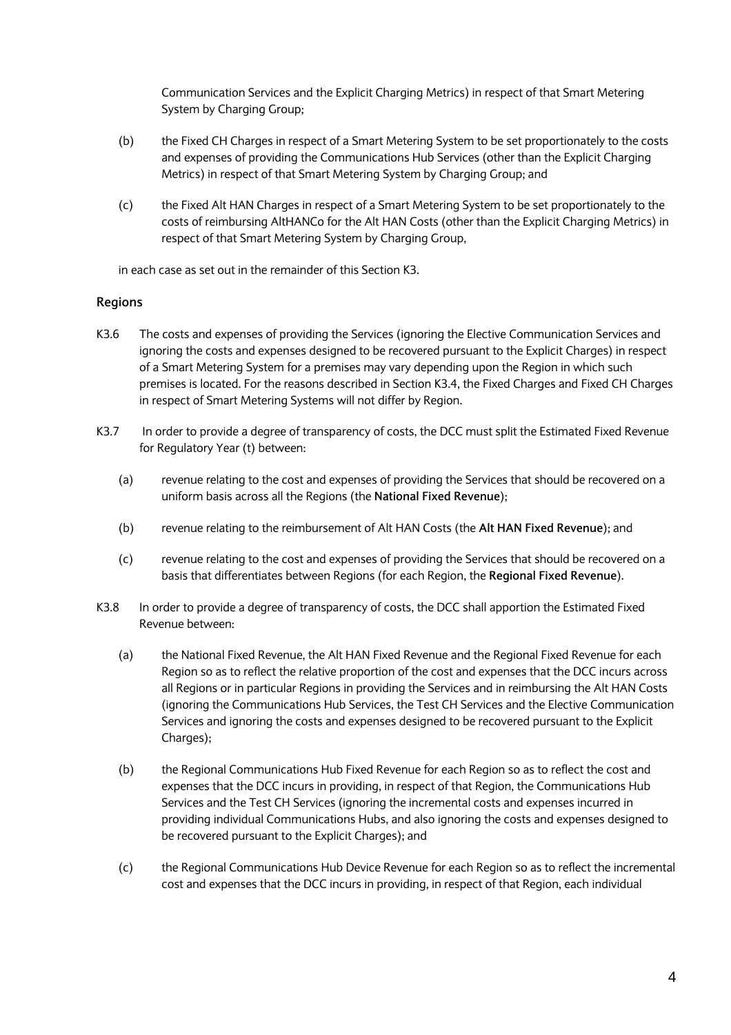Communication Services and the Explicit Charging Metrics) in respect of that Smart Metering System by Charging Group;

- (b) the Fixed CH Charges in respect of a Smart Metering System to be set proportionately to the costs and expenses of providing the Communications Hub Services (other than the Explicit Charging Metrics) in respect of that Smart Metering System by Charging Group; and
- (c) the Fixed Alt HAN Charges in respect of a Smart Metering System to be set proportionately to the costs of reimbursing AltHANCo for the Alt HAN Costs (other than the Explicit Charging Metrics) in respect of that Smart Metering System by Charging Group,

in each case as set out in the remainder of this Section K3.

## **Regions**

- K3.6 The costs and expenses of providing the Services (ignoring the Elective Communication Services and ignoring the costs and expenses designed to be recovered pursuant to the Explicit Charges) in respect of a Smart Metering System for a premises may vary depending upon the Region in which such premises is located. For the reasons described in Section K3.4, the Fixed Charges and Fixed CH Charges in respect of Smart Metering Systems will not differ by Region.
- K3.7 In order to provide a degree of transparency of costs, the DCC must split the Estimated Fixed Revenue for Regulatory Year (t) between:
	- (a) revenue relating to the cost and expenses of providing the Services that should be recovered on a uniform basis across all the Regions (the **National Fixed Revenue**);
	- (b) revenue relating to the reimbursement of Alt HAN Costs (the **Alt HAN Fixed Revenue**); and
	- (c) revenue relating to the cost and expenses of providing the Services that should be recovered on a basis that differentiates between Regions (for each Region, the **Regional Fixed Revenue**).
- K3.8 In order to provide a degree of transparency of costs, the DCC shall apportion the Estimated Fixed Revenue between:
	- (a) the National Fixed Revenue, the Alt HAN Fixed Revenue and the Regional Fixed Revenue for each Region so as to reflect the relative proportion of the cost and expenses that the DCC incurs across all Regions or in particular Regions in providing the Services and in reimbursing the Alt HAN Costs (ignoring the Communications Hub Services, the Test CH Services and the Elective Communication Services and ignoring the costs and expenses designed to be recovered pursuant to the Explicit Charges):
	- (b) the Regional Communications Hub Fixed Revenue for each Region so as to reflect the cost and expenses that the DCC incurs in providing, in respect of that Region, the Communications Hub Services and the Test CH Services (ignoring the incremental costs and expenses incurred in providing individual Communications Hubs, and also ignoring the costs and expenses designed to be recovered pursuant to the Explicit Charges); and
	- (c) the Regional Communications Hub Device Revenue for each Region so as to reflect the incremental cost and expenses that the DCC incurs in providing, in respect of that Region, each individual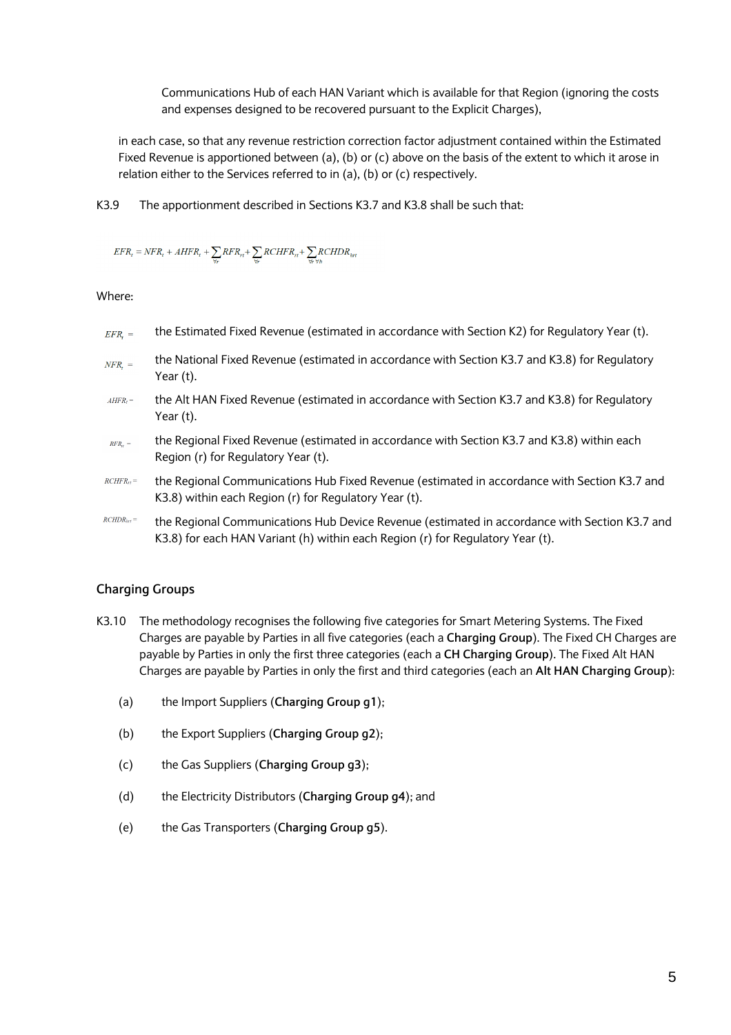Communications Hub of each HAN Variant which is available for that Region (ignoring the costs and expenses designed to be recovered pursuant to the Explicit Charges),

in each case, so that any revenue restriction correction factor adjustment contained within the Estimated Fixed Revenue is apportioned between (a), (b) or (c) above on the basis of the extent to which it arose in relation either to the Services referred to in (a), (b) or (c) respectively.

K3.9 The apportionment described in Sections K3.7 and K3.8 shall be such that:

 $\label{eq:er} EFR_t = NFR_t + AHFR_t + \sum_{\forall r} RFR_{rt} + \sum_{\forall r} RCHFR_{rt} + \sum_{\forall r \forall h} RCHDR_{int}$ 

Where:

- the Estimated Fixed Revenue (estimated in accordance with Section K2) for Regulatory Year (t).  $EFR_t =$
- the National Fixed Revenue (estimated in accordance with Section K3.7 and K3.8) for Regulatory  $NFR =$ Year (t).
- $AHFR<sub>t</sub> =$ the Alt HAN Fixed Revenue (estimated in accordance with Section K3.7 and K3.8) for Regulatory Year (t).
- the Regional Fixed Revenue (estimated in accordance with Section K3.7 and K3.8) within each  $RFR. =$ Region (r) for Regulatory Year (t).
- $RCHFR_{rr} =$ the Regional Communications Hub Fixed Revenue (estimated in accordance with Section K3.7 and K3.8) within each Region (r) for Regulatory Year (t).
- $RCHDR<sub>hrf</sub> =$ the Regional Communications Hub Device Revenue (estimated in accordance with Section K3.7 and K3.8) for each HAN Variant (h) within each Region (r) for Regulatory Year (t).

## **Charging Groups**

- K3.10 The methodology recognises the following five categories for Smart Metering Systems. The Fixed Charges are payable by Parties in all five categories (each a **Charging Group**). The Fixed CH Charges are payable by Parties in only the first three categories (each a **CH Charging Group**). The Fixed Alt HAN Charges are payable by Parties in only the first and third categories (each an **Alt HAN Charging Group**):
	- (a) the Import Suppliers (**Charging Group g1**);
	- (b) the Export Suppliers (**Charging Group g2**);
	- (c) the Gas Suppliers (**Charging Group g3**);
	- (d) the Electricity Distributors (**Charging Group g4**); and
	- (e) the Gas Transporters (**Charging Group g5**).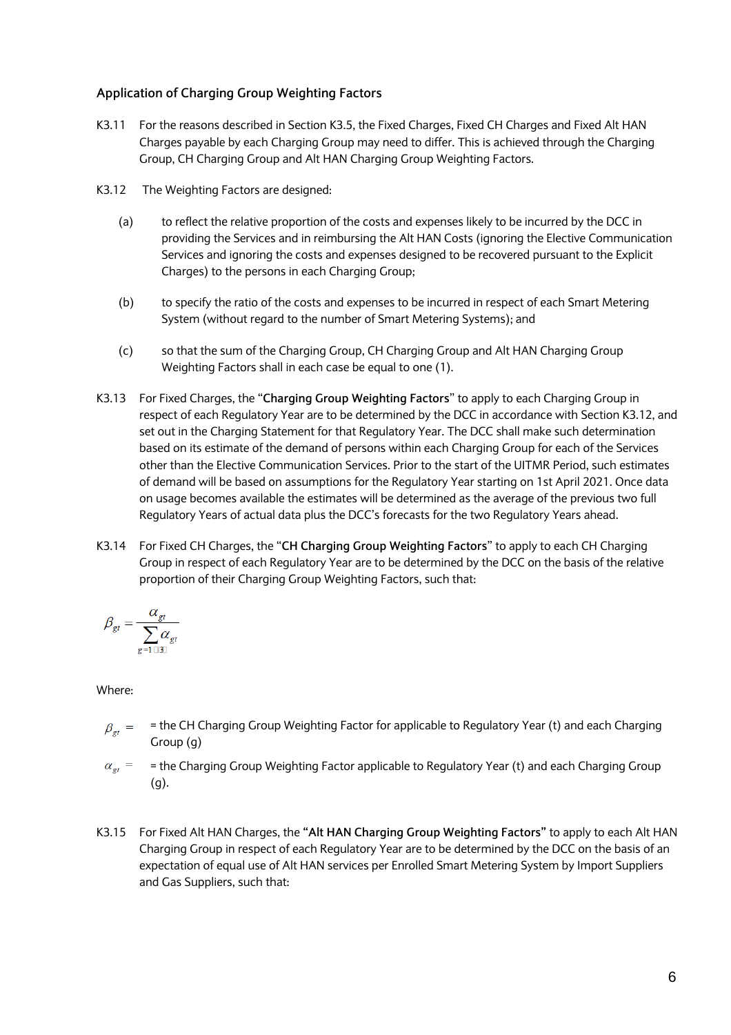## **Application of Charging Group Weighting Factors**

- K3.11 For the reasons described in Section K3.5, the Fixed Charges, Fixed CH Charges and Fixed Alt HAN Charges payable by each Charging Group may need to differ. This is achieved through the Charging Group, CH Charging Group and Alt HAN Charging Group Weighting Factors.
- K3.12 The Weighting Factors are designed:
	- (a) to reflect the relative proportion of the costs and expenses likely to be incurred by the DCC in providing the Services and in reimbursing the Alt HAN Costs (ignoring the Elective Communication Services and ignoring the costs and expenses designed to be recovered pursuant to the Explicit Charges) to the persons in each Charging Group;
	- (b) to specify the ratio of the costs and expenses to be incurred in respect of each Smart Metering System (without regard to the number of Smart Metering Systems); and
	- (c) so that the sum of the Charging Group, CH Charging Group and Alt HAN Charging Group Weighting Factors shall in each case be equal to one (1).
- K3.13 For Fixed Charges, the "**Charging Group Weighting Factors**" to apply to each Charging Group in respect of each Regulatory Year are to be determined by the DCC in accordance with Section K3.12, and set out in the Charging Statement for that Regulatory Year. The DCC shall make such determination based on its estimate of the demand of persons within each Charging Group for each of the Services other than the Elective Communication Services. Prior to the start of the UITMR Period, such estimates of demand will be based on assumptions for the Regulatory Year starting on 1st April 2021. Once data on usage becomes available the estimates will be determined as the average of the previous two full Regulatory Years of actual data plus the DCC's forecasts for the two Regulatory Years ahead.
- K3.14 For Fixed CH Charges, the "**CH Charging Group Weighting Factors**" to apply to each CH Charging Group in respect of each Regulatory Year are to be determined by the DCC on the basis of the relative proportion of their Charging Group Weighting Factors, such that:

$$
\beta_{gt} = \frac{\alpha_{gt}}{\sum_{g=1\, \text{min}} \alpha_{gt}}
$$

- $\beta_{gt}$  = the CH Charging Group Weighting Factor for applicable to Regulatory Year (t) and each Charging Group (g)
- = the Charging Group Weighting Factor applicable to Regulatory Year (t) and each Charging Group  $\alpha_{\text{et}} =$ (g).
- K3.15 For Fixed Alt HAN Charges, the **"Alt HAN Charging Group Weighting Factors"** to apply to each Alt HAN Charging Group in respect of each Regulatory Year are to be determined by the DCC on the basis of an expectation of equal use of Alt HAN services per Enrolled Smart Metering System by Import Suppliers and Gas Suppliers, such that: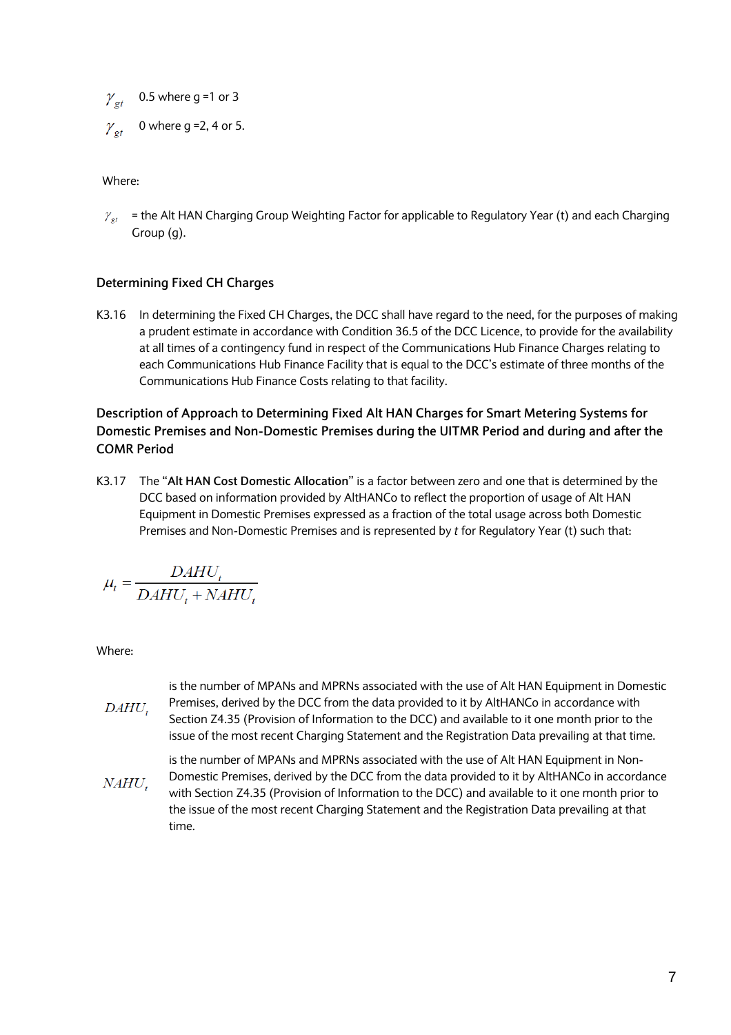$\gamma_{gt}$  0.5 where g =1 or 3

0 where g =2, 4 or 5.  $\boldsymbol{\mathcal{Y}}_{\mathcal{\boldsymbol{e}}t}$ 

Where:

 $\gamma_{\text{er}}$  = the Alt HAN Charging Group Weighting Factor for applicable to Regulatory Year (t) and each Charging Group (g).

## **Determining Fixed CH Charges**

K3.16 In determining the Fixed CH Charges, the DCC shall have regard to the need, for the purposes of making a prudent estimate in accordance with Condition 36.5 of the DCC Licence, to provide for the availability at all times of a contingency fund in respect of the Communications Hub Finance Charges relating to each Communications Hub Finance Facility that is equal to the DCC's estimate of three months of the Communications Hub Finance Costs relating to that facility.

## **Description of Approach to Determining Fixed Alt HAN Charges for Smart Metering Systems for Domestic Premises and Non-Domestic Premises during the UITMR Period and during and after the COMR Period**

K3.17 The "**Alt HAN Cost Domestic Allocation**" is a factor between zero and one that is determined by the DCC based on information provided by AltHANCo to reflect the proportion of usage of Alt HAN Equipment in Domestic Premises expressed as a fraction of the total usage across both Domestic Premises and Non-Domestic Premises and is represented by *t* for Regulatory Year (t) such that:

$$
\mu_t = \frac{DAHU_t}{DAHU_t + NAHU_t}
$$

- is the number of MPANs and MPRNs associated with the use of Alt HAN Equipment in Domestic Premises, derived by the DCC from the data provided to it by AltHANCo in accordance with DAHU, Section Z4.35 (Provision of Information to the DCC) and available to it one month prior to the issue of the most recent Charging Statement and the Registration Data prevailing at that time.
- is the number of MPANs and MPRNs associated with the use of Alt HAN Equipment in Non-Domestic Premises, derived by the DCC from the data provided to it by AltHANCo in accordance NAHU. with Section Z4.35 (Provision of Information to the DCC) and available to it one month prior to the issue of the most recent Charging Statement and the Registration Data prevailing at that time.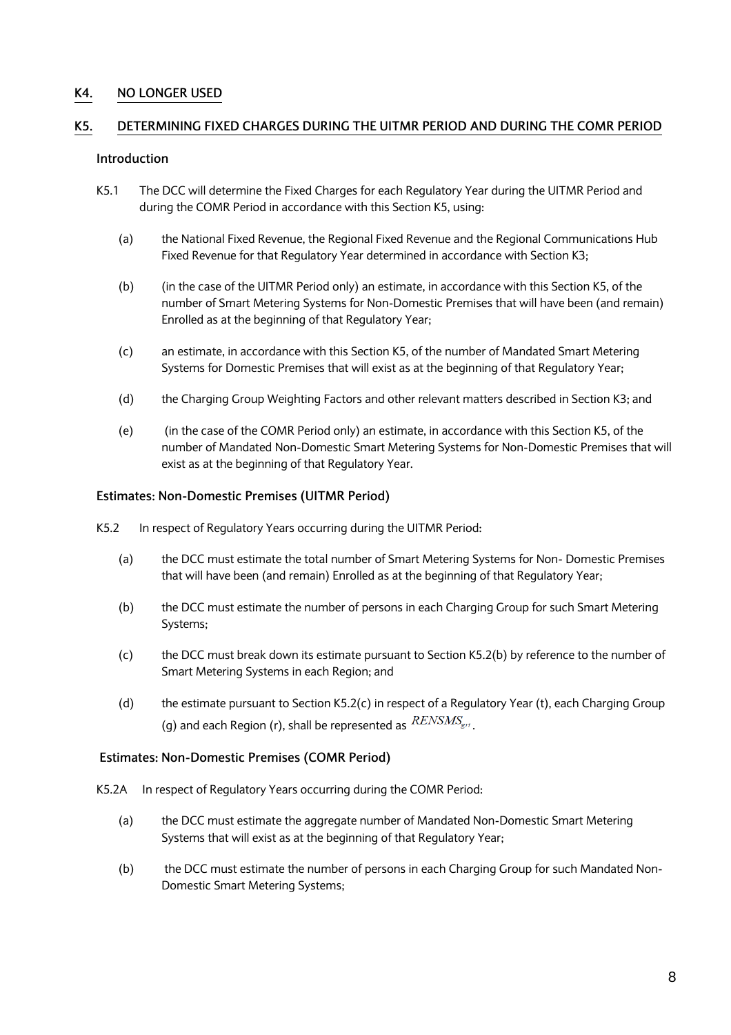## **K4. NO LONGER USED**

### **K5. DETERMINING FIXED CHARGES DURING THE UITMR PERIOD AND DURING THE COMR PERIOD**

### **Introduction**

- K5.1 The DCC will determine the Fixed Charges for each Regulatory Year during the UITMR Period and during the COMR Period in accordance with this Section K5, using:
	- (a) the National Fixed Revenue, the Regional Fixed Revenue and the Regional Communications Hub Fixed Revenue for that Regulatory Year determined in accordance with Section K3;
	- (b) (in the case of the UITMR Period only) an estimate, in accordance with this Section K5, of the number of Smart Metering Systems for Non-Domestic Premises that will have been (and remain) Enrolled as at the beginning of that Regulatory Year;
	- (c) an estimate, in accordance with this Section K5, of the number of Mandated Smart Metering Systems for Domestic Premises that will exist as at the beginning of that Regulatory Year;
	- (d) the Charging Group Weighting Factors and other relevant matters described in Section K3; and
	- (e) (in the case of the COMR Period only) an estimate, in accordance with this Section K5, of the number of Mandated Non-Domestic Smart Metering Systems for Non-Domestic Premises that will exist as at the beginning of that Regulatory Year.

#### **Estimates: Non-Domestic Premises (UITMR Period)**

- K5.2 In respect of Regulatory Years occurring during the UITMR Period:
	- (a) the DCC must estimate the total number of Smart Metering Systems for Non- Domestic Premises that will have been (and remain) Enrolled as at the beginning of that Regulatory Year;
	- (b) the DCC must estimate the number of persons in each Charging Group for such Smart Metering Systems;
	- (c) the DCC must break down its estimate pursuant to Section K5.2(b) by reference to the number of Smart Metering Systems in each Region; and
	- (d) the estimate pursuant to Section K5.2(c) in respect of a Regulatory Year (t), each Charging Group (g) and each Region (r), shall be represented as  $RENSMS_{\text{gr}t}$ .

#### **Estimates: Non-Domestic Premises (COMR Period)**

- K5.2A In respect of Regulatory Years occurring during the COMR Period:
	- (a) the DCC must estimate the aggregate number of Mandated Non-Domestic Smart Metering Systems that will exist as at the beginning of that Regulatory Year;
	- (b) the DCC must estimate the number of persons in each Charging Group for such Mandated Non-Domestic Smart Metering Systems;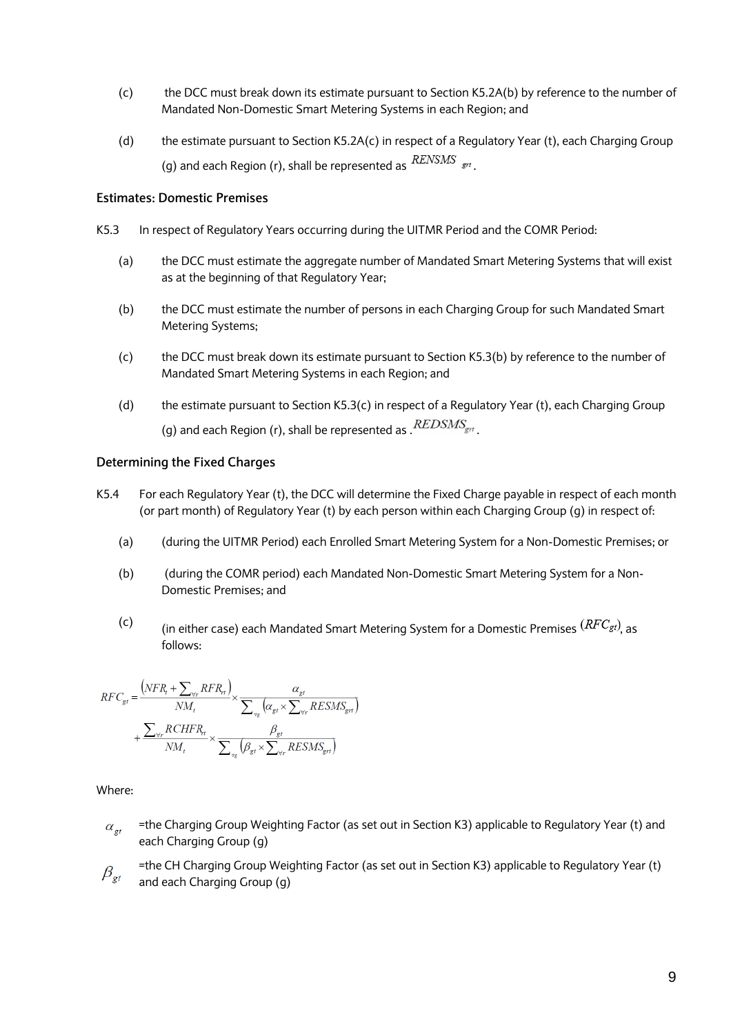- (c) the DCC must break down its estimate pursuant to Section K5.2A(b) by reference to the number of Mandated Non-Domestic Smart Metering Systems in each Region; and
- (d) the estimate pursuant to Section K5.2A(c) in respect of a Regulatory Year (t), each Charging Group (g) and each Region (r), shall be represented as  $RENSMS$   $_{\rm gr}$ .

### **Estimates: Domestic Premises**

- K5.3 In respect of Regulatory Years occurring during the UITMR Period and the COMR Period:
	- (a) the DCC must estimate the aggregate number of Mandated Smart Metering Systems that will exist as at the beginning of that Regulatory Year;
	- (b) the DCC must estimate the number of persons in each Charging Group for such Mandated Smart Metering Systems;
	- (c) the DCC must break down its estimate pursuant to Section K5.3(b) by reference to the number of Mandated Smart Metering Systems in each Region; and
	- (d) the estimate pursuant to Section K5.3(c) in respect of a Regulatory Year (t), each Charging Group (g) and each Region (r), shall be represented as  $REDSMS_{\text{gr}t}$ .

### **Determining the Fixed Charges**

- K5.4 For each Regulatory Year (t), the DCC will determine the Fixed Charge payable in respect of each month (or part month) of Regulatory Year (t) by each person within each Charging Group (g) in respect of:
	- (a) (during the UITMR Period) each Enrolled Smart Metering System for a Non-Domestic Premises; or
	- (b) (during the COMR period) each Mandated Non-Domestic Smart Metering System for a Non-Domestic Premises; and
	- (c) (in either case) each Mandated Smart Metering System for a Domestic Premises  $(RFC_{gt})$  as follows:

$$
RFC_{st} = \frac{\left(NFR_t + \sum_{\forall r}RFR_{rt}\right)}{NM_t} \times \frac{\alpha_{st}}{\sum_{\forall s}\left(\alpha_{st} \times \sum_{\forall r}RESMS_{gt}\right)} + \frac{\sum_{\forall r}RCHFR_{rt}}{NM_t} \times \frac{\beta_{gt}}{\sum_{\forall r}\left(\beta_{st} \times \sum_{\forall r}RESMS_{gt}\right)}
$$

Where:

=the Charging Group Weighting Factor (as set out in Section K3) applicable to Regulatory Year (t) and  $\alpha_{\scriptscriptstyle_{et}}$ each Charging Group (g)

=the CH Charging Group Weighting Factor (as set out in Section K3) applicable to Regulatory Year (t)  $\beta_{\scriptscriptstyle\mathit{gt}}$ and each Charging Group (g)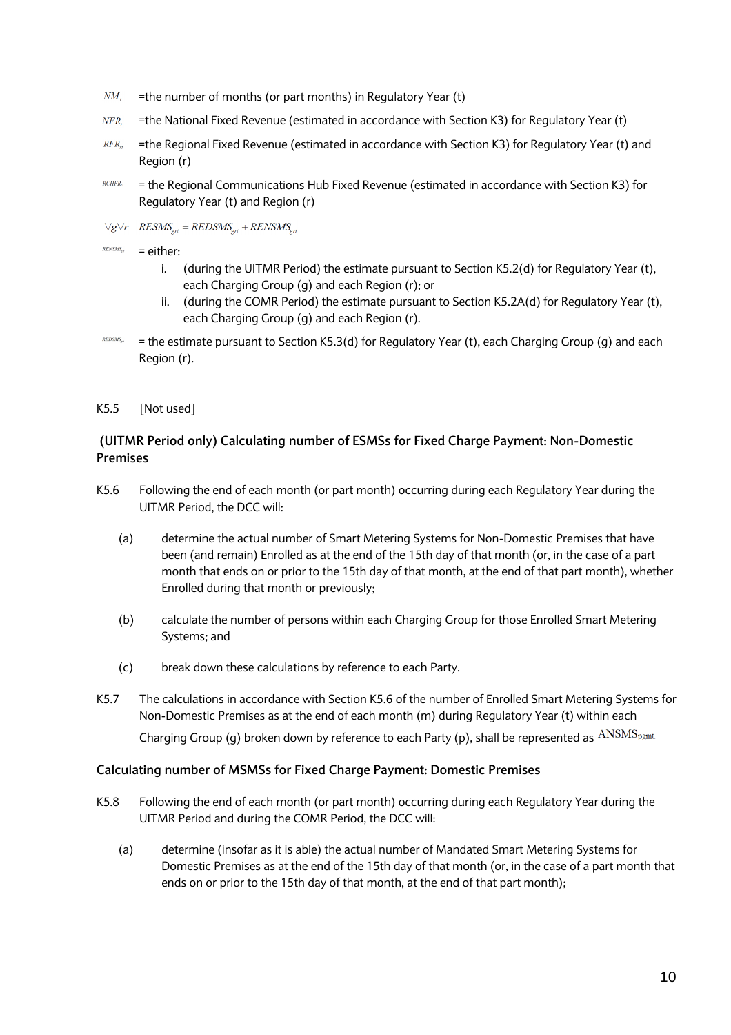- $NM_{t}$ =the number of months (or part months) in Regulatory Year (t)
- NFR, =the National Fixed Revenue (estimated in accordance with Section K3) for Regulatory Year (t)
- $RFR_{H}$ =the Regional Fixed Revenue (estimated in accordance with Section K3) for Regulatory Year (t) and Region (r)
- $RCHFR<sub>rt</sub>$ = the Regional Communications Hub Fixed Revenue (estimated in accordance with Section K3) for Regulatory Year (t) and Region (r)
- $\forall g \forall r \quad \text{RESMS}_{\text{ext}} = \text{REDSMS}_{\text{ext}} + \text{RENSMS}_{\text{ext}}$
- $RENSMS_{\rm gr}$ = either:
	- i. (during the UITMR Period) the estimate pursuant to Section K5.2(d) for Regulatory Year (t), each Charging Group (g) and each Region (r); or
	- ii. (during the COMR Period) the estimate pursuant to Section K5.2A(d) for Regulatory Year (t), each Charging Group (g) and each Region (r).
- $REDSMS_{\text{ext}}$ = the estimate pursuant to Section K5.3(d) for Regulatory Year (t), each Charging Group (g) and each Region (r).
- K5.5 [Not used]

## **(UITMR Period only) Calculating number of ESMSs for Fixed Charge Payment: Non-Domestic Premises**

- K5.6 Following the end of each month (or part month) occurring during each Regulatory Year during the UITMR Period, the DCC will:
	- (a) determine the actual number of Smart Metering Systems for Non-Domestic Premises that have been (and remain) Enrolled as at the end of the 15th day of that month (or, in the case of a part month that ends on or prior to the 15th day of that month, at the end of that part month), whether Enrolled during that month or previously;
	- (b) calculate the number of persons within each Charging Group for those Enrolled Smart Metering Systems; and
	- (c) break down these calculations by reference to each Party.
- K5.7 The calculations in accordance with Section K5.6 of the number of Enrolled Smart Metering Systems for Non-Domestic Premises as at the end of each month (m) during Regulatory Year (t) within each Charging Group (g) broken down by reference to each Party (p), shall be represented as  $\text{ANSMS}_{\text{pgmt}}$ .

#### **Calculating number of MSMSs for Fixed Charge Payment: Domestic Premises**

- K5.8 Following the end of each month (or part month) occurring during each Regulatory Year during the UITMR Period and during the COMR Period, the DCC will:
	- (a) determine (insofar as it is able) the actual number of Mandated Smart Metering Systems for Domestic Premises as at the end of the 15th day of that month (or, in the case of a part month that ends on or prior to the 15th day of that month, at the end of that part month);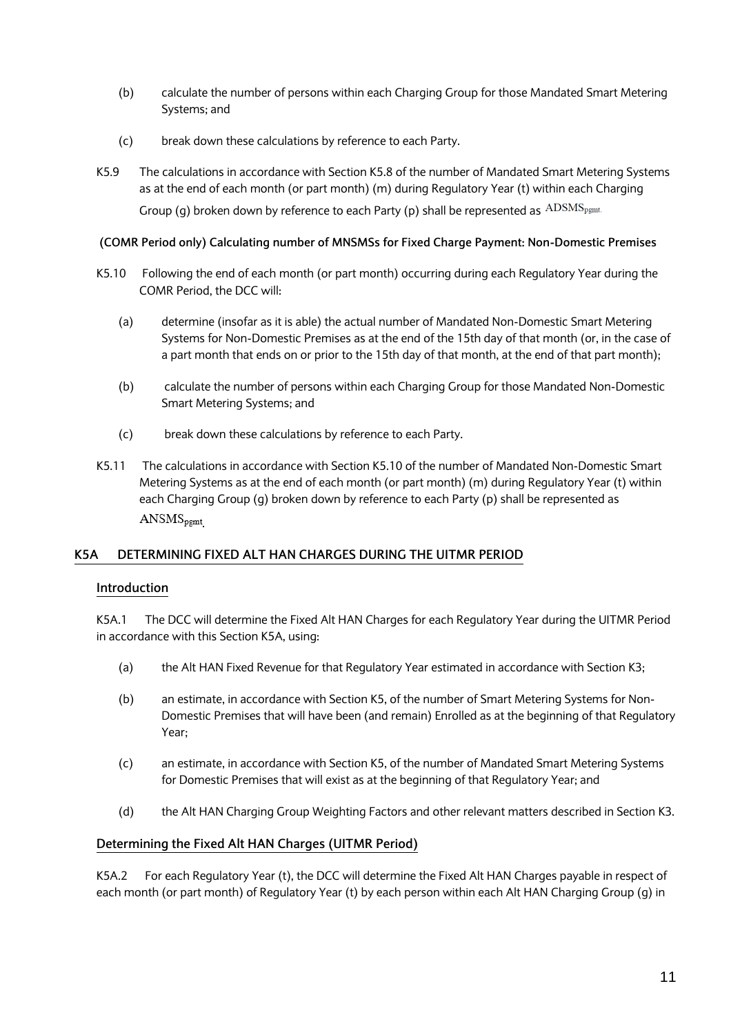- (b) calculate the number of persons within each Charging Group for those Mandated Smart Metering Systems; and
- (c) break down these calculations by reference to each Party.
- K5.9 The calculations in accordance with Section K5.8 of the number of Mandated Smart Metering Systems as at the end of each month (or part month) (m) during Regulatory Year (t) within each Charging Group (g) broken down by reference to each Party (p) shall be represented as  $\text{ADSMS}_{\text{pgmt}}$ .

### **(COMR Period only) Calculating number of MNSMSs for Fixed Charge Payment: Non-Domestic Premises**

- K5.10 Following the end of each month (or part month) occurring during each Regulatory Year during the COMR Period, the DCC will:
	- (a) determine (insofar as it is able) the actual number of Mandated Non-Domestic Smart Metering Systems for Non-Domestic Premises as at the end of the 15th day of that month (or, in the case of a part month that ends on or prior to the 15th day of that month, at the end of that part month);
	- (b) calculate the number of persons within each Charging Group for those Mandated Non-Domestic Smart Metering Systems; and
	- (c) break down these calculations by reference to each Party.
- K5.11 The calculations in accordance with Section K5.10 of the number of Mandated Non-Domestic Smart Metering Systems as at the end of each month (or part month) (m) during Regulatory Year (t) within each Charging Group (g) broken down by reference to each Party (p) shall be represented as  $ANSMS<sub>pgmt</sub>$

## **K5A DETERMINING FIXED ALT HAN CHARGES DURING THE UITMR PERIOD**

### **Introduction**

K5A.1 The DCC will determine the Fixed Alt HAN Charges for each Regulatory Year during the UITMR Period in accordance with this Section K5A, using:

- (a) the Alt HAN Fixed Revenue for that Regulatory Year estimated in accordance with Section K3;
- (b) an estimate, in accordance with Section K5, of the number of Smart Metering Systems for Non-Domestic Premises that will have been (and remain) Enrolled as at the beginning of that Regulatory Year;
- (c) an estimate, in accordance with Section K5, of the number of Mandated Smart Metering Systems for Domestic Premises that will exist as at the beginning of that Regulatory Year; and
- (d) the Alt HAN Charging Group Weighting Factors and other relevant matters described in Section K3.

## **Determining the Fixed Alt HAN Charges (UITMR Period)**

K5A.2 For each Regulatory Year (t), the DCC will determine the Fixed Alt HAN Charges payable in respect of each month (or part month) of Regulatory Year (t) by each person within each Alt HAN Charging Group (g) in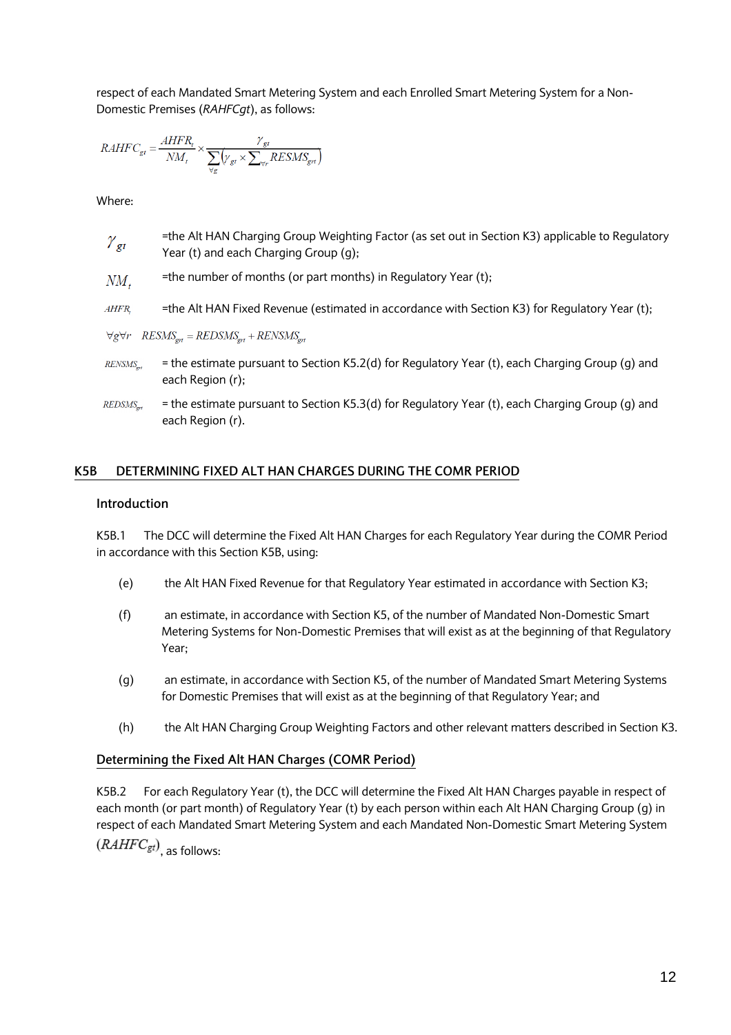respect of each Mandated Smart Metering System and each Enrolled Smart Metering System for a Non-Domestic Premises (*RAHFCgt*), as follows:

$$
RAHFC_{gt} = \frac{AHFR_{t}}{NM_{t}} \times \frac{\gamma_{gt}}{\sum_{\forall r}(\gamma_{gt} \times \sum_{\forall r} RESMS_{gt})}
$$

Where:

- =the Alt HAN Charging Group Weighting Factor (as set out in Section K3) applicable to Regulatory  $\gamma_{\sigma t}$ Year (t) and each Charging Group (g);
- =the number of months (or part months) in Regulatory Year (t);  $NM_{t}$
- $AHFR$ =the Alt HAN Fixed Revenue (estimated in accordance with Section K3) for Regulatory Year (t);

 $\forall g \forall r \quad \text{RESMS}_{\text{ert}} = \text{REDSMS}_{\text{ert}} + \text{RENSMS}_{\text{ert}}$ 

RENSMS<sub>on</sub> = the estimate pursuant to Section K5.2(d) for Regulatory Year (t), each Charging Group (g) and each Region (r);

 $REDSMS_{\text{out}}$ = the estimate pursuant to Section K5.3(d) for Regulatory Year (t), each Charging Group (g) and each Region (r).

### **K5B DETERMINING FIXED ALT HAN CHARGES DURING THE COMR PERIOD**

### **Introduction**

K5B.1 The DCC will determine the Fixed Alt HAN Charges for each Regulatory Year during the COMR Period in accordance with this Section K5B, using:

- (e) the Alt HAN Fixed Revenue for that Regulatory Year estimated in accordance with Section K3;
- (f) an estimate, in accordance with Section K5, of the number of Mandated Non-Domestic Smart Metering Systems for Non-Domestic Premises that will exist as at the beginning of that Regulatory Year;
- (g) an estimate, in accordance with Section K5, of the number of Mandated Smart Metering Systems for Domestic Premises that will exist as at the beginning of that Regulatory Year; and
- (h) the Alt HAN Charging Group Weighting Factors and other relevant matters described in Section K3.

### **Determining the Fixed Alt HAN Charges (COMR Period)**

K5B.2 For each Regulatory Year (t), the DCC will determine the Fixed Alt HAN Charges payable in respect of each month (or part month) of Regulatory Year (t) by each person within each Alt HAN Charging Group (g) in respect of each Mandated Smart Metering System and each Mandated Non-Domestic Smart Metering System  $(RAHFC<sub>gt</sub>)$ , as follows: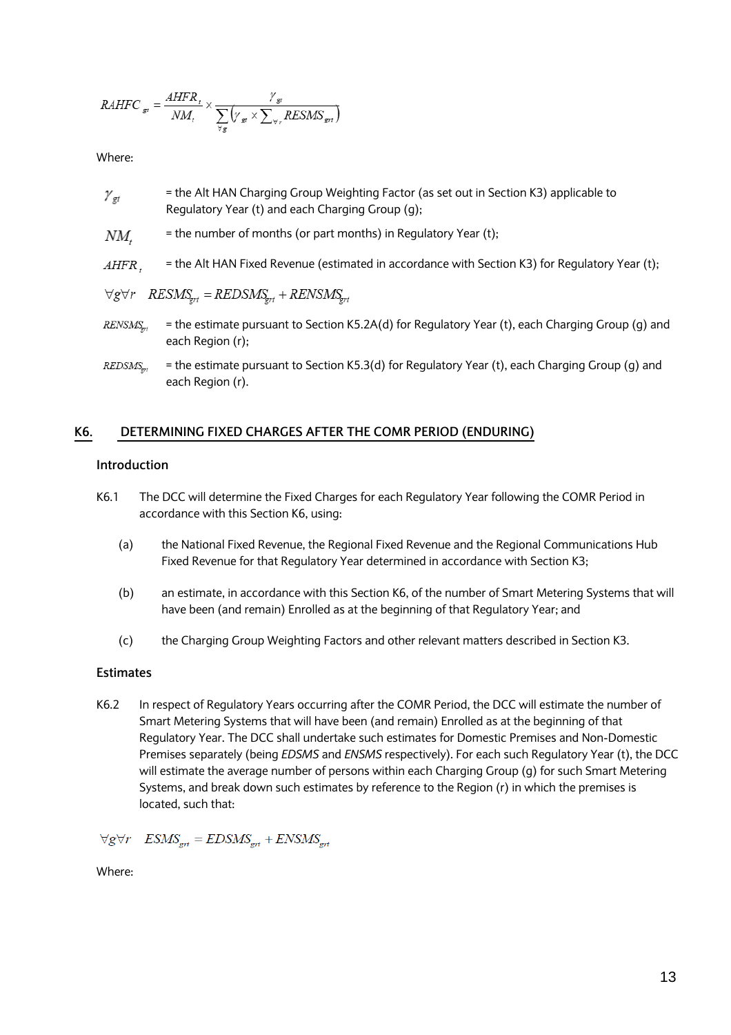$$
RAHFC_{gt} = \frac{AHFR_{t}}{NM_{t}} \times \frac{\gamma_{gt}}{\sum_{\forall s} (\gamma_{st} \times \sum_{\forall r} RESMS_{gt})}
$$

Where:

- $\gamma_{\sigma t}$ = the Alt HAN Charging Group Weighting Factor (as set out in Section K3) applicable to Regulatory Year (t) and each Charging Group (g);
- $NM$ . = the number of months (or part months) in Regulatory Year (t);
- = the Alt HAN Fixed Revenue (estimated in accordance with Section K3) for Regulatory Year (t); AHFR.

$$
\forall g \forall r \quad \text{RESMS}_{grt} = \text{REDSMS}_{grt} + \text{RENSMS}_{grt}
$$

- RENSMS<sub>set</sub> = the estimate pursuant to Section K5.2A(d) for Regulatory Year (t), each Charging Group (g) and each Region (r);
- REDSMS = the estimate pursuant to Section K5.3(d) for Regulatory Year (t), each Charging Group (g) and each Region (r).

### **K6. DETERMINING FIXED CHARGES AFTER THE COMR PERIOD (ENDURING)**

### **Introduction**

- K6.1 The DCC will determine the Fixed Charges for each Regulatory Year following the COMR Period in accordance with this Section K6, using:
	- (a) the National Fixed Revenue, the Regional Fixed Revenue and the Regional Communications Hub Fixed Revenue for that Regulatory Year determined in accordance with Section K3;
	- (b) an estimate, in accordance with this Section K6, of the number of Smart Metering Systems that will have been (and remain) Enrolled as at the beginning of that Regulatory Year; and
	- (c) the Charging Group Weighting Factors and other relevant matters described in Section K3.

#### **Estimates**

K6.2 In respect of Regulatory Years occurring after the COMR Period, the DCC will estimate the number of Smart Metering Systems that will have been (and remain) Enrolled as at the beginning of that Regulatory Year. The DCC shall undertake such estimates for Domestic Premises and Non-Domestic Premises separately (being *EDSMS* and *ENSMS* respectively). For each such Regulatory Year (t), the DCC will estimate the average number of persons within each Charging Group (g) for such Smart Metering Systems, and break down such estimates by reference to the Region (r) in which the premises is located, such that:

 $\forall g \forall r \quad ESMS_{\text{out}} = EDSMS_{\text{out}} + ENSMS_{\text{out}}$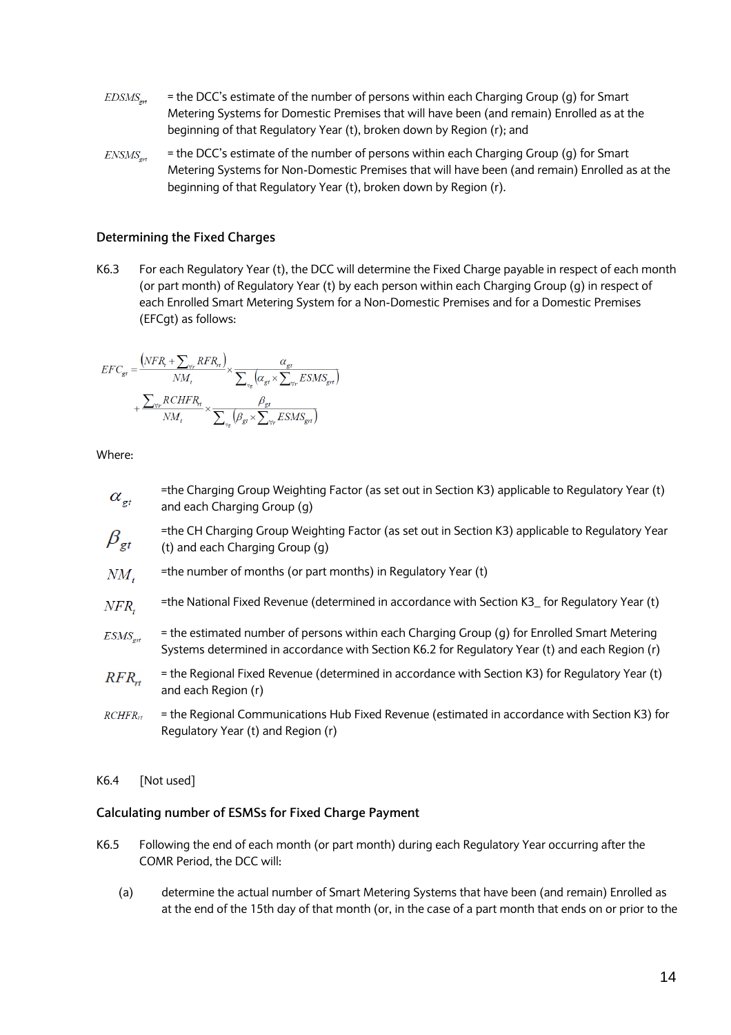- $EDSMS_{ort}$ = the DCC's estimate of the number of persons within each Charging Group (g) for Smart Metering Systems for Domestic Premises that will have been (and remain) Enrolled as at the beginning of that Regulatory Year (t), broken down by Region (r); and
- = the DCC's estimate of the number of persons within each Charging Group (g) for Smart  $ENSMS_{\text{ort}}$ Metering Systems for Non-Domestic Premises that will have been (and remain) Enrolled as at the beginning of that Regulatory Year (t), broken down by Region (r).

### **Determining the Fixed Charges**

K6.3 For each Regulatory Year (t), the DCC will determine the Fixed Charge payable in respect of each month (or part month) of Regulatory Year (t) by each person within each Charging Group (g) in respect of each Enrolled Smart Metering System for a Non-Domestic Premises and for a Domestic Premises (EFCgt) as follows:

$$
\begin{aligned} EFC_{gt} = &\frac{\left(NFR_{t}+\sum_{\forall r}RFR_{rt}\right)}{NM_{t}}\times\frac{\alpha_{gt}}{\sum_{\forall s}\left(\alpha_{gt}\times\sum_{\forall r}ESMS_{gt}\right)}\\ &+\frac{\sum_{\forall r}RCHFR_{rt}}{NM_{t}}\times\frac{\beta_{gt}}{\sum_{\forall s}\left(\beta_{gt}\times\sum_{\forall r}ESMS_{gt}\right)} \end{aligned}
$$

Where:

- =the Charging Group Weighting Factor (as set out in Section K3) applicable to Regulatory Year (t)  $\alpha_{\scriptscriptstyle{\sigma t}}$ and each Charging Group (g)
- =the CH Charging Group Weighting Factor (as set out in Section K3) applicable to Regulatory Year  $\beta_{\text{gt}}$ (t) and each Charging Group (g)
- $NM_{t}$ =the number of months (or part months) in Regulatory Year (t)
- =the National Fixed Revenue (determined in accordance with Section K3\_ for Regulatory Year (t)  $NFR$ .
- = the estimated number of persons within each Charging Group (g) for Enrolled Smart Metering  $ESMS_{grt}$ Systems determined in accordance with Section K6.2 for Regulatory Year (t) and each Region (r)
- = the Regional Fixed Revenue (determined in accordance with Section K3) for Regulatory Year (t)  $RFR_{rt}$ and each Region (r)
- $RCHFR_{rt}$ = the Regional Communications Hub Fixed Revenue (estimated in accordance with Section K3) for Regulatory Year (t) and Region (r)

#### K6.4 [Not used]

#### **Calculating number of ESMSs for Fixed Charge Payment**

- K6.5 Following the end of each month (or part month) during each Regulatory Year occurring after the COMR Period, the DCC will:
	- (a) determine the actual number of Smart Metering Systems that have been (and remain) Enrolled as at the end of the 15th day of that month (or, in the case of a part month that ends on or prior to the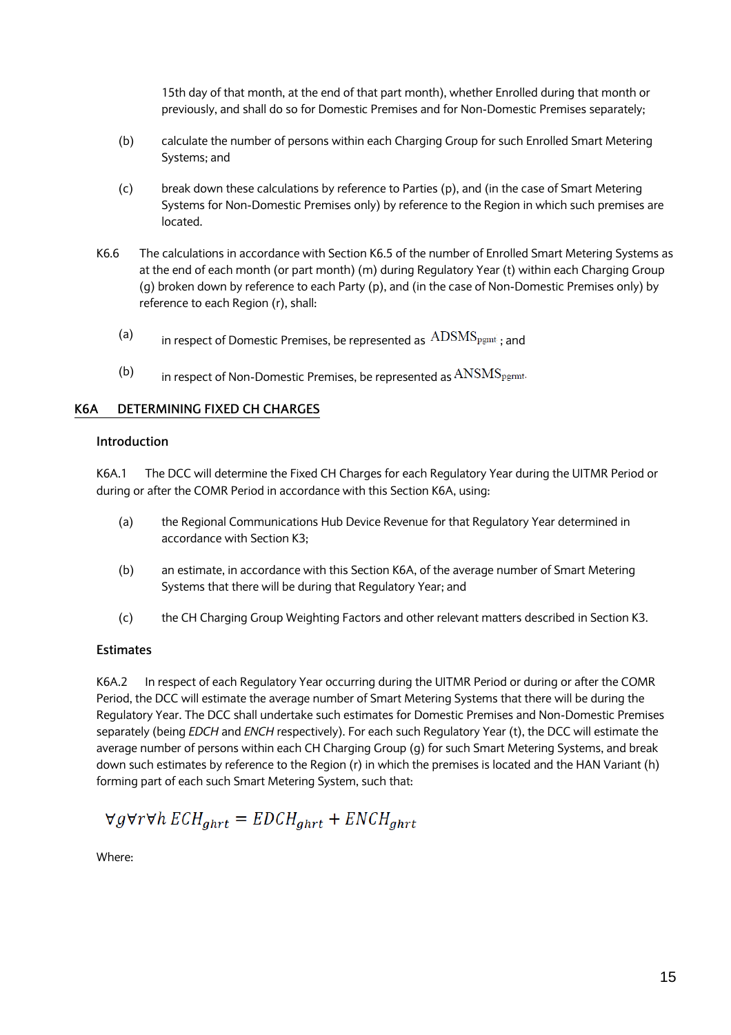15th day of that month, at the end of that part month), whether Enrolled during that month or previously, and shall do so for Domestic Premises and for Non-Domestic Premises separately;

- (b) calculate the number of persons within each Charging Group for such Enrolled Smart Metering Systems; and
- (c) break down these calculations by reference to Parties (p), and (in the case of Smart Metering Systems for Non-Domestic Premises only) by reference to the Region in which such premises are located.
- K6.6 The calculations in accordance with Section K6.5 of the number of Enrolled Smart Metering Systems as at the end of each month (or part month) (m) during Regulatory Year (t) within each Charging Group (g) broken down by reference to each Party (p), and (in the case of Non-Domestic Premises only) by reference to each Region (r), shall:
	- (a) in respect of Domestic Premises, be represented as  $\rm{ADSMS}_{\rm{pgmt}}$ ; and
	- (b) in respect of Non-Domestic Premises, be represented as  $\text{ANSMS}_{\text{pgmt}}$ .

### **K6A DETERMINING FIXED CH CHARGES**

#### **Introduction**

K6A.1 The DCC will determine the Fixed CH Charges for each Regulatory Year during the UITMR Period or during or after the COMR Period in accordance with this Section K6A, using:

- (a) the Regional Communications Hub Device Revenue for that Regulatory Year determined in accordance with Section K3;
- (b) an estimate, in accordance with this Section K6A, of the average number of Smart Metering Systems that there will be during that Regulatory Year; and
- (c) the CH Charging Group Weighting Factors and other relevant matters described in Section K3.

#### **Estimates**

K6A.2 In respect of each Regulatory Year occurring during the UITMR Period or during or after the COMR Period, the DCC will estimate the average number of Smart Metering Systems that there will be during the Regulatory Year. The DCC shall undertake such estimates for Domestic Premises and Non-Domestic Premises separately (being *EDCH* and *ENCH* respectively). For each such Regulatory Year (t), the DCC will estimate the average number of persons within each CH Charging Group (g) for such Smart Metering Systems, and break down such estimates by reference to the Region (r) in which the premises is located and the HAN Variant (h) forming part of each such Smart Metering System, such that:

$$
\forall g \forall r \forall h \ ECH_{ghrt} = EDCH_{ghrt} + ENCH_{ghrt}
$$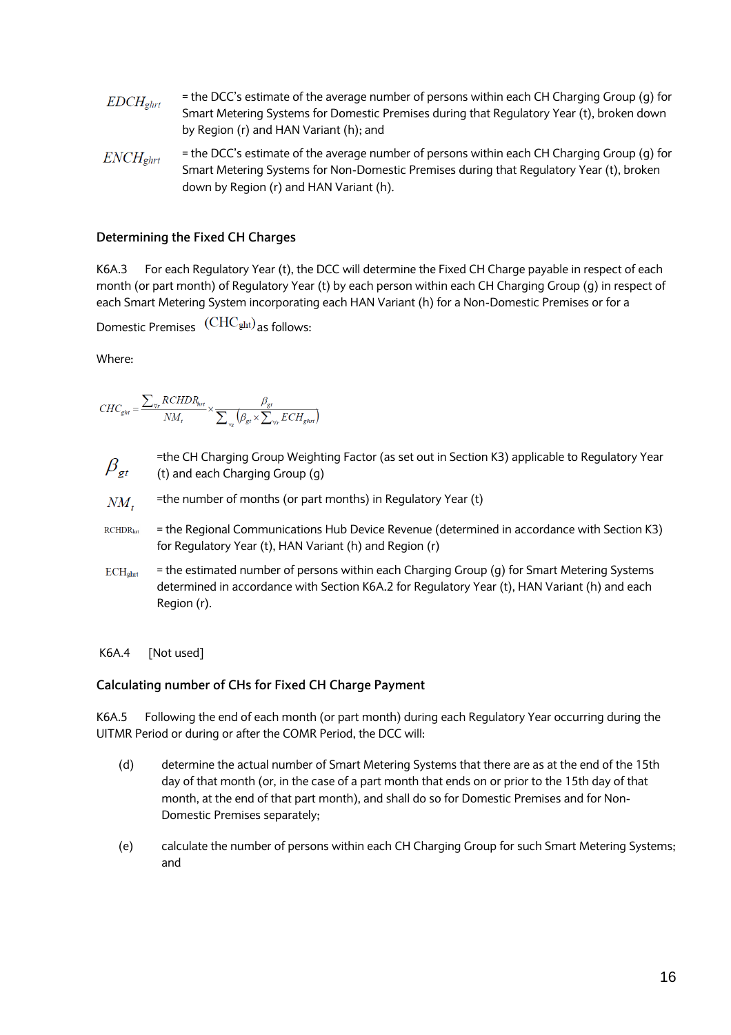- = the DCC's estimate of the average number of persons within each CH Charging Group (g) for  $EDCH<sub>ehrt</sub>$ Smart Metering Systems for Domestic Premises during that Regulatory Year (t), broken down by Region (r) and HAN Variant (h); and
- = the DCC's estimate of the average number of persons within each CH Charging Group (g) for  $ENCH_{ghrt}$ Smart Metering Systems for Non-Domestic Premises during that Regulatory Year (t), broken down by Region (r) and HAN Variant (h).

## **Determining the Fixed CH Charges**

K6A.3 For each Regulatory Year (t), the DCC will determine the Fixed CH Charge payable in respect of each month (or part month) of Regulatory Year (t) by each person within each CH Charging Group (g) in respect of each Smart Metering System incorporating each HAN Variant (h) for a Non-Domestic Premises or for a

Domestic Premises  $\left(\text{CHC}_{\text{ght}}\right)$  as follows:

Where:

$$
CHC_{ght} = \frac{\sum_{\forall r} RCHDR_{int}}{NM_t} \times \frac{\beta_{gt}}{\sum_{\forall g}\left(\beta_{gt} \times \sum_{\forall r} ECH_{ghrt}\right)}
$$

- =the CH Charging Group Weighting Factor (as set out in Section K3) applicable to Regulatory Year  $\beta_{\scriptscriptstyle \mathsf{gt}}$ (t) and each Charging Group (g)
- =the number of months (or part months) in Regulatory Year (t)  $NM_{t}$
- $RCHDR<sub>hrt</sub>$ = the Regional Communications Hub Device Revenue (determined in accordance with Section K3) for Regulatory Year (t), HAN Variant (h) and Region (r)
- = the estimated number of persons within each Charging Group (g) for Smart Metering Systems  $ECH<sub>ghrt</sub>$ determined in accordance with Section K6A.2 for Regulatory Year (t), HAN Variant (h) and each Region (r).
- K6A.4 [Not used]

## **Calculating number of CHs for Fixed CH Charge Payment**

K6A.5 Following the end of each month (or part month) during each Regulatory Year occurring during the UITMR Period or during or after the COMR Period, the DCC will:

- (d) determine the actual number of Smart Metering Systems that there are as at the end of the 15th day of that month (or, in the case of a part month that ends on or prior to the 15th day of that month, at the end of that part month), and shall do so for Domestic Premises and for Non-Domestic Premises separately;
- (e) calculate the number of persons within each CH Charging Group for such Smart Metering Systems; and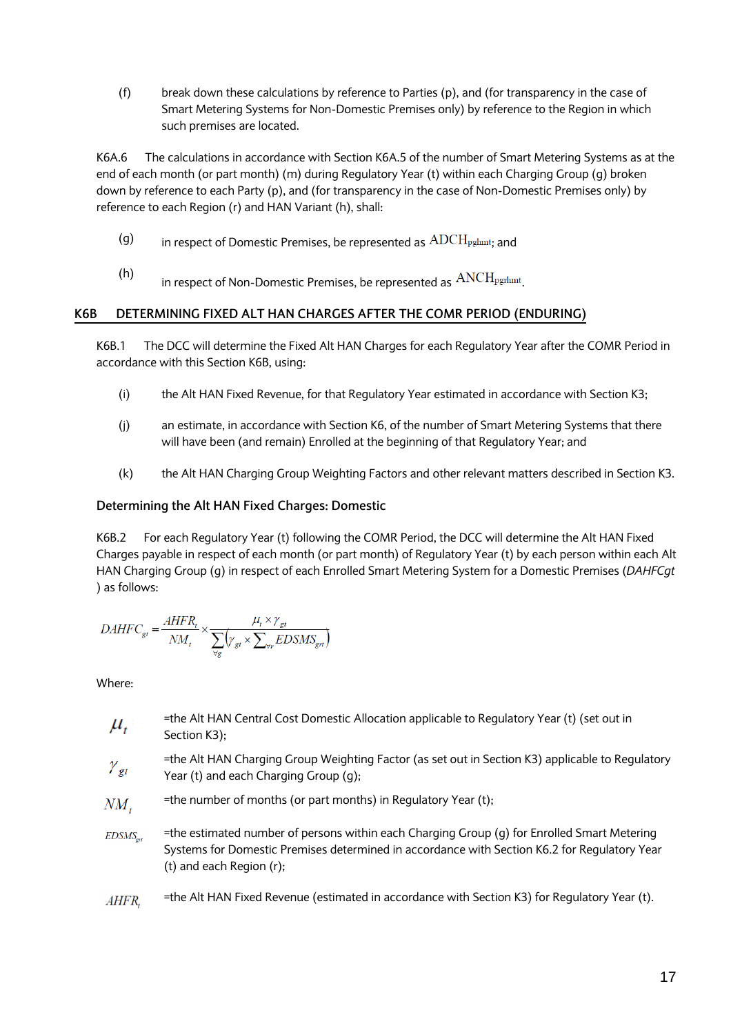(f) break down these calculations by reference to Parties (p), and (for transparency in the case of Smart Metering Systems for Non-Domestic Premises only) by reference to the Region in which such premises are located.

K6A.6 The calculations in accordance with Section K6A.5 of the number of Smart Metering Systems as at the end of each month (or part month) (m) during Regulatory Year (t) within each Charging Group (g) broken down by reference to each Party (p), and (for transparency in the case of Non-Domestic Premises only) by reference to each Region (r) and HAN Variant (h), shall:

- (g) in respect of Domestic Premises, be represented as  $\text{ADCH}_{\text{pghmt}}$ ; and
- (h) in respect of Non-Domestic Premises, be represented as  $\text{ANCH}_{\text{pgrhmt}}$ .

## **K6B DETERMINING FIXED ALT HAN CHARGES AFTER THE COMR PERIOD (ENDURING)**

K6B.1 The DCC will determine the Fixed Alt HAN Charges for each Regulatory Year after the COMR Period in accordance with this Section K6B, using:

- (i) the Alt HAN Fixed Revenue, for that Regulatory Year estimated in accordance with Section K3;
- (j) an estimate, in accordance with Section K6, of the number of Smart Metering Systems that there will have been (and remain) Enrolled at the beginning of that Regulatory Year; and
- (k) the Alt HAN Charging Group Weighting Factors and other relevant matters described in Section K3.

## **Determining the Alt HAN Fixed Charges: Domestic**

K6B.2 For each Regulatory Year (t) following the COMR Period, the DCC will determine the Alt HAN Fixed Charges payable in respect of each month (or part month) of Regulatory Year (t) by each person within each Alt HAN Charging Group (g) in respect of each Enrolled Smart Metering System for a Domestic Premises (*DAHFCgt* ) as follows:

$$
DAHFC_{gt} = \frac{AHFR_t}{NM_t} \times \frac{\mu_t \times \gamma_{gt}}{\sum_{\forall r} (\gamma_{gt} \times \sum_{\forall r} EDSMS_{gt})}
$$

- =the Alt HAN Central Cost Domestic Allocation applicable to Regulatory Year (t) (set out in  $\mu_{\iota}$ Section K3);
- =the Alt HAN Charging Group Weighting Factor (as set out in Section K3) applicable to Regulatory  $\gamma_{gt}$ Year (t) and each Charging Group (g);
- =the number of months (or part months) in Regulatory Year (t);  $NM$ .
- $EDSMS_{\text{ext}}$ =the estimated number of persons within each Charging Group (g) for Enrolled Smart Metering Systems for Domestic Premises determined in accordance with Section K6.2 for Regulatory Year (t) and each Region (r);
- =the Alt HAN Fixed Revenue (estimated in accordance with Section K3) for Regulatory Year (t). AHFR.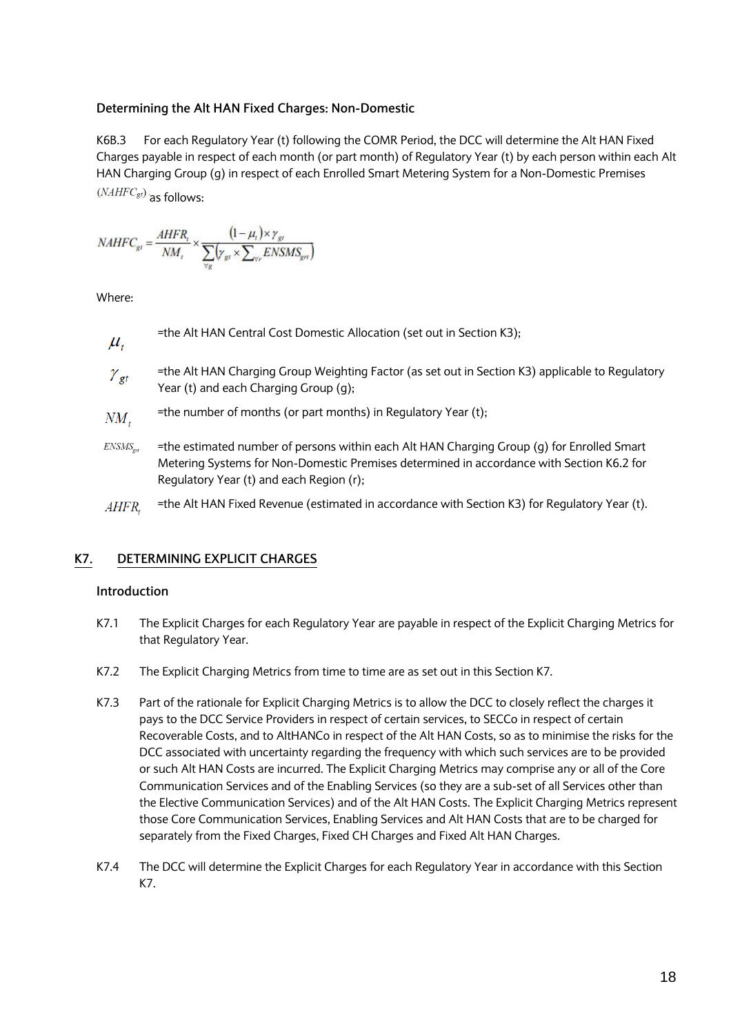### **Determining the Alt HAN Fixed Charges: Non-Domestic**

K6B.3 For each Regulatory Year (t) following the COMR Period, the DCC will determine the Alt HAN Fixed Charges payable in respect of each month (or part month) of Regulatory Year (t) by each person within each Alt HAN Charging Group (g) in respect of each Enrolled Smart Metering System for a Non-Domestic Premises  $(NAHFC<sub>gt</sub>)$  as follows:

$$
NAHFC_{gt} = \frac{AHFR_t}{NM_t} \times \frac{(1 - \mu_t) \times \gamma_{gt}}{\sum_{\forall g} (\gamma_{gt} \times \sum_{\forall r} ENSMS_{gt})}
$$

Where:

\n
$$
\mu_t
$$
 = the Alt HAN Central Cost Domestic Allocation (set out in Section K3);  
\n $\gamma_{gt}$  = the Alt HAN Charging Group Weighting Factor (as set out in Section K3) applicable to Regularory  
\n $\gamma_{gt}$  = the Alt HAN Charging Group (g);  
\n $\mu_t$  =  $\mu_t$  =  $\mu_t$  =  $\mu_t$  =  $\mu_t$  =  $\mu_t$  =  $\mu_t$  =  $\mu_t$  =  $\mu_t$  =  $\mu_t$  =  $\mu_t$  =  $\mu_t$  =  $\mu_t$  =  $\mu_t$  =  $\mu_t$  =  $\mu_t$  =  $\mu_t$  =  $\mu_t$  =  $\mu_t$  =  $\mu_t$  =  $\mu_t$  =  $\mu_t$  =  $\mu_t$  =  $\mu_t$  =  $\mu_t$  =  $\mu_t$  =  $\mu_t$  =  $\mu_t$  =  $\mu_t$  =  $\mu_t$  =  $\mu_t$  =  $\mu_t$  =  $\mu_t$  =  $\mu_t$  =  $\mu_t$  =  $\mu_t$  =  $\mu_t$  =  $\mu_t$  =  $\mu_t$  =  $\mu_t$  =  $\mu_t$  =  $\mu_t$  =  $\mu_t$  =  $\mu_t$  =  $\mu_t$  =  $\mu_t$  =  $\mu_t$  =  $\mu_t$  =  $\mu_t$  =  $\mu_t$  =  $\mu_t$  =  $\mu_t$  =  $\mu_t$  =  $\mu_t$  =  $\mu_t$  =  $\mu_t$  =  $\mu_t$  =  $\mu_t$  =  $\mu_t$  =  $\mu_t$  =  $\mu_t$  =  $\mu_t$  =  $\mu_t$  =  $\mu_t$  =  $\mu_t$  =  $\mu_t$  =  $\mu_t$  =  $\mu_t$  =  $\mu_t$  =  $\mu_t$  =  $\mu_t$  =  $\mu_t$  =  $\mu_t$  =  $\mu_t$  =  $\mu_t$ 

- =the number of months (or part months) in Regulatory Year (t);  $NM_{t}$
- $ENSMS_{\text{ext}}$ =the estimated number of persons within each Alt HAN Charging Group (g) for Enrolled Smart Metering Systems for Non-Domestic Premises determined in accordance with Section K6.2 for Regulatory Year (t) and each Region (r);
- =the Alt HAN Fixed Revenue (estimated in accordance with Section K3) for Regulatory Year (t). AHFR.

## **K7. DETERMINING EXPLICIT CHARGES**

## **Introduction**

- K7.1 The Explicit Charges for each Regulatory Year are payable in respect of the Explicit Charging Metrics for that Regulatory Year.
- K7.2 The Explicit Charging Metrics from time to time are as set out in this Section K7.
- K7.3 Part of the rationale for Explicit Charging Metrics is to allow the DCC to closely reflect the charges it pays to the DCC Service Providers in respect of certain services, to SECCo in respect of certain Recoverable Costs, and to AltHANCo in respect of the Alt HAN Costs, so as to minimise the risks for the DCC associated with uncertainty regarding the frequency with which such services are to be provided or such Alt HAN Costs are incurred. The Explicit Charging Metrics may comprise any or all of the Core Communication Services and of the Enabling Services (so they are a sub-set of all Services other than the Elective Communication Services) and of the Alt HAN Costs. The Explicit Charging Metrics represent those Core Communication Services, Enabling Services and Alt HAN Costs that are to be charged for separately from the Fixed Charges, Fixed CH Charges and Fixed Alt HAN Charges.
- K7.4 The DCC will determine the Explicit Charges for each Regulatory Year in accordance with this Section K7.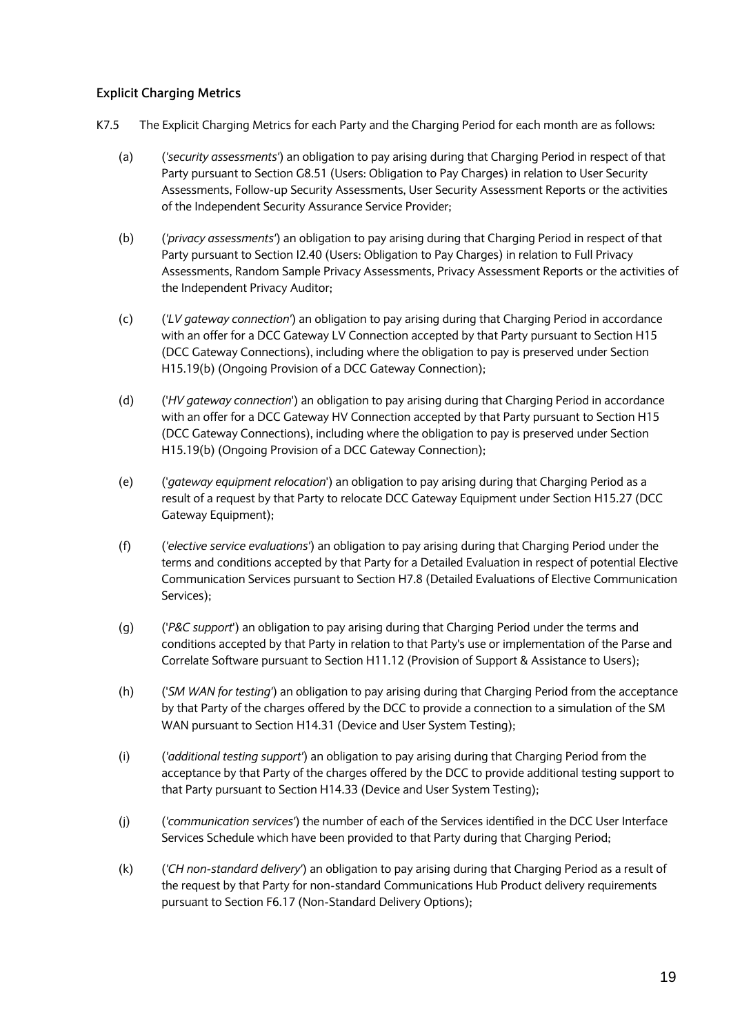## **Explicit Charging Metrics**

- K7.5 The Explicit Charging Metrics for each Party and the Charging Period for each month are as follows:
	- (a) (*'security assessments'*) an obligation to pay arising during that Charging Period in respect of that Party pursuant to Section G8.51 (Users: Obligation to Pay Charges) in relation to User Security Assessments, Follow-up Security Assessments, User Security Assessment Reports or the activities of the Independent Security Assurance Service Provider;
	- (b) (*'privacy assessments'*) an obligation to pay arising during that Charging Period in respect of that Party pursuant to Section I2.40 (Users: Obligation to Pay Charges) in relation to Full Privacy Assessments, Random Sample Privacy Assessments, Privacy Assessment Reports or the activities of the Independent Privacy Auditor;
	- (c) (*'LV gateway connection'*) an obligation to pay arising during that Charging Period in accordance with an offer for a DCC Gateway LV Connection accepted by that Party pursuant to Section H15 (DCC Gateway Connections), including where the obligation to pay is preserved under Section H15.19(b) (Ongoing Provision of a DCC Gateway Connection);
	- (d) ('*HV gateway connection*') an obligation to pay arising during that Charging Period in accordance with an offer for a DCC Gateway HV Connection accepted by that Party pursuant to Section H15 (DCC Gateway Connections), including where the obligation to pay is preserved under Section H15.19(b) (Ongoing Provision of a DCC Gateway Connection);
	- (e) ('*gateway equipment relocation*') an obligation to pay arising during that Charging Period as a result of a request by that Party to relocate DCC Gateway Equipment under Section H15.27 (DCC Gateway Equipment);
	- (f) (*'elective service evaluations'*) an obligation to pay arising during that Charging Period under the terms and conditions accepted by that Party for a Detailed Evaluation in respect of potential Elective Communication Services pursuant to Section H7.8 (Detailed Evaluations of Elective Communication Services);
	- (g) ('*P&C support*') an obligation to pay arising during that Charging Period under the terms and conditions accepted by that Party in relation to that Party's use or implementation of the Parse and Correlate Software pursuant to Section H11.12 (Provision of Support & Assistance to Users);
	- (h) ('*SM WAN for testing'*) an obligation to pay arising during that Charging Period from the acceptance by that Party of the charges offered by the DCC to provide a connection to a simulation of the SM WAN pursuant to Section H14.31 (Device and User System Testing);
	- (i) (*'additional testing support'*) an obligation to pay arising during that Charging Period from the acceptance by that Party of the charges offered by the DCC to provide additional testing support to that Party pursuant to Section H14.33 (Device and User System Testing);
	- (j) (*'communication services'*) the number of each of the Services identified in the DCC User Interface Services Schedule which have been provided to that Party during that Charging Period;
	- (k) (*'CH non-standard delivery'*) an obligation to pay arising during that Charging Period as a result of the request by that Party for non-standard Communications Hub Product delivery requirements pursuant to Section F6.17 (Non-Standard Delivery Options);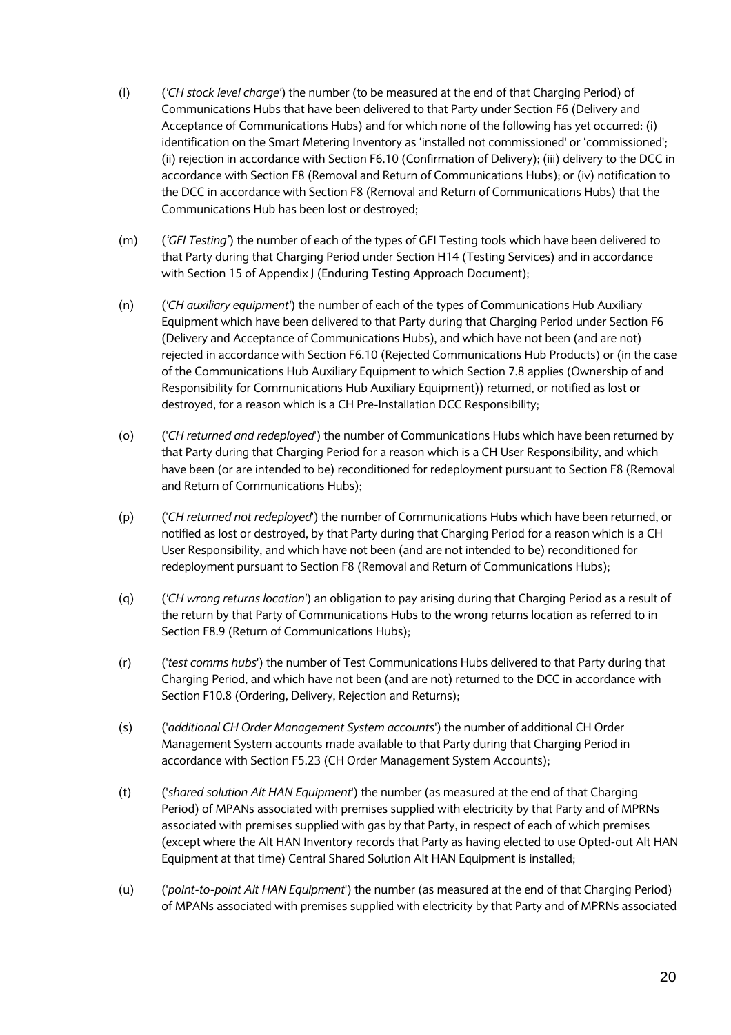- (l) (*'CH stock level charge'*) the number (to be measured at the end of that Charging Period) of Communications Hubs that have been delivered to that Party under Section F6 (Delivery and Acceptance of Communications Hubs) and for which none of the following has yet occurred: (i) identification on the Smart Metering Inventory as 'installed not commissioned' or 'commissioned'; (ii) rejection in accordance with Section F6.10 (Confirmation of Delivery); (iii) delivery to the DCC in accordance with Section F8 (Removal and Return of Communications Hubs); or (iv) notification to the DCC in accordance with Section F8 (Removal and Return of Communications Hubs) that the Communications Hub has been lost or destroyed;
- (m) (*'GFI Testing'*) the number of each of the types of GFI Testing tools which have been delivered to that Party during that Charging Period under Section H14 (Testing Services) and in accordance with Section 15 of Appendix J (Enduring Testing Approach Document);
- (n) (*'CH auxiliary equipment'*) the number of each of the types of Communications Hub Auxiliary Equipment which have been delivered to that Party during that Charging Period under Section F6 (Delivery and Acceptance of Communications Hubs), and which have not been (and are not) rejected in accordance with Section F6.10 (Rejected Communications Hub Products) or (in the case of the Communications Hub Auxiliary Equipment to which Section 7.8 applies (Ownership of and Responsibility for Communications Hub Auxiliary Equipment)) returned, or notified as lost or destroyed, for a reason which is a CH Pre-Installation DCC Responsibility;
- (o) ('*CH returned and redeployed*') the number of Communications Hubs which have been returned by that Party during that Charging Period for a reason which is a CH User Responsibility, and which have been (or are intended to be) reconditioned for redeployment pursuant to Section F8 (Removal and Return of Communications Hubs);
- (p) ('*CH returned not redeployed*') the number of Communications Hubs which have been returned, or notified as lost or destroyed, by that Party during that Charging Period for a reason which is a CH User Responsibility, and which have not been (and are not intended to be) reconditioned for redeployment pursuant to Section F8 (Removal and Return of Communications Hubs);
- (q) (*'CH wrong returns location'*) an obligation to pay arising during that Charging Period as a result of the return by that Party of Communications Hubs to the wrong returns location as referred to in Section F8.9 (Return of Communications Hubs);
- (r) ('*test comms hubs*') the number of Test Communications Hubs delivered to that Party during that Charging Period, and which have not been (and are not) returned to the DCC in accordance with Section F10.8 (Ordering, Delivery, Rejection and Returns);
- (s) ('*additional CH Order Management System accounts*') the number of additional CH Order Management System accounts made available to that Party during that Charging Period in accordance with Section F5.23 (CH Order Management System Accounts);
- (t) ('*shared solution Alt HAN Equipment*') the number (as measured at the end of that Charging Period) of MPANs associated with premises supplied with electricity by that Party and of MPRNs associated with premises supplied with gas by that Party, in respect of each of which premises (except where the Alt HAN Inventory records that Party as having elected to use Opted-out Alt HAN Equipment at that time) Central Shared Solution Alt HAN Equipment is installed;
- (u) ('*point-to-point Alt HAN Equipment*') the number (as measured at the end of that Charging Period) of MPANs associated with premises supplied with electricity by that Party and of MPRNs associated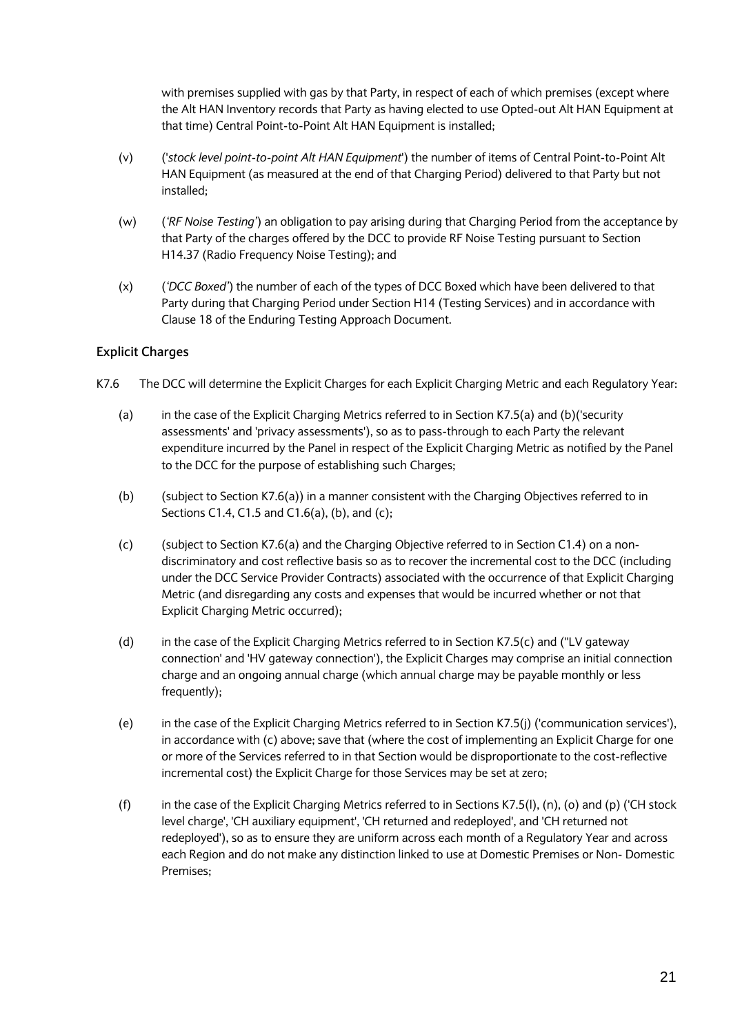with premises supplied with gas by that Party, in respect of each of which premises (except where the Alt HAN Inventory records that Party as having elected to use Opted-out Alt HAN Equipment at that time) Central Point-to-Point Alt HAN Equipment is installed;

- (v) ('*stock level point-to-point Alt HAN Equipment*') the number of items of Central Point-to-Point Alt HAN Equipment (as measured at the end of that Charging Period) delivered to that Party but not installed;
- (w) (*'RF Noise Testing'*) an obligation to pay arising during that Charging Period from the acceptance by that Party of the charges offered by the DCC to provide RF Noise Testing pursuant to Section H14.37 (Radio Frequency Noise Testing); and
- (x) (*'DCC Boxed'*) the number of each of the types of DCC Boxed which have been delivered to that Party during that Charging Period under Section H14 (Testing Services) and in accordance with Clause 18 of the Enduring Testing Approach Document.

## **Explicit Charges**

- K7.6 The DCC will determine the Explicit Charges for each Explicit Charging Metric and each Regulatory Year:
	- (a) in the case of the Explicit Charging Metrics referred to in Section K7.5(a) and (b)('security assessments' and 'privacy assessments'), so as to pass-through to each Party the relevant expenditure incurred by the Panel in respect of the Explicit Charging Metric as notified by the Panel to the DCC for the purpose of establishing such Charges;
	- (b) (subject to Section K7.6(a)) in a manner consistent with the Charging Objectives referred to in Sections C1.4, C1.5 and C1.6(a), (b), and (c);
	- (c) (subject to Section K7.6(a) and the Charging Objective referred to in Section C1.4) on a nondiscriminatory and cost reflective basis so as to recover the incremental cost to the DCC (including under the DCC Service Provider Contracts) associated with the occurrence of that Explicit Charging Metric (and disregarding any costs and expenses that would be incurred whether or not that Explicit Charging Metric occurred);
	- (d) in the case of the Explicit Charging Metrics referred to in Section K7.5(c) and (''LV gateway connection' and 'HV gateway connection'), the Explicit Charges may comprise an initial connection charge and an ongoing annual charge (which annual charge may be payable monthly or less frequently);
	- (e) in the case of the Explicit Charging Metrics referred to in Section K7.5(j) ('communication services'), in accordance with (c) above; save that (where the cost of implementing an Explicit Charge for one or more of the Services referred to in that Section would be disproportionate to the cost-reflective incremental cost) the Explicit Charge for those Services may be set at zero;
	- (f) in the case of the Explicit Charging Metrics referred to in Sections K7.5(l), (n), (o) and (p) ('CH stock level charge', 'CH auxiliary equipment', 'CH returned and redeployed', and 'CH returned not redeployed'), so as to ensure they are uniform across each month of a Regulatory Year and across each Region and do not make any distinction linked to use at Domestic Premises or Non- Domestic Premises;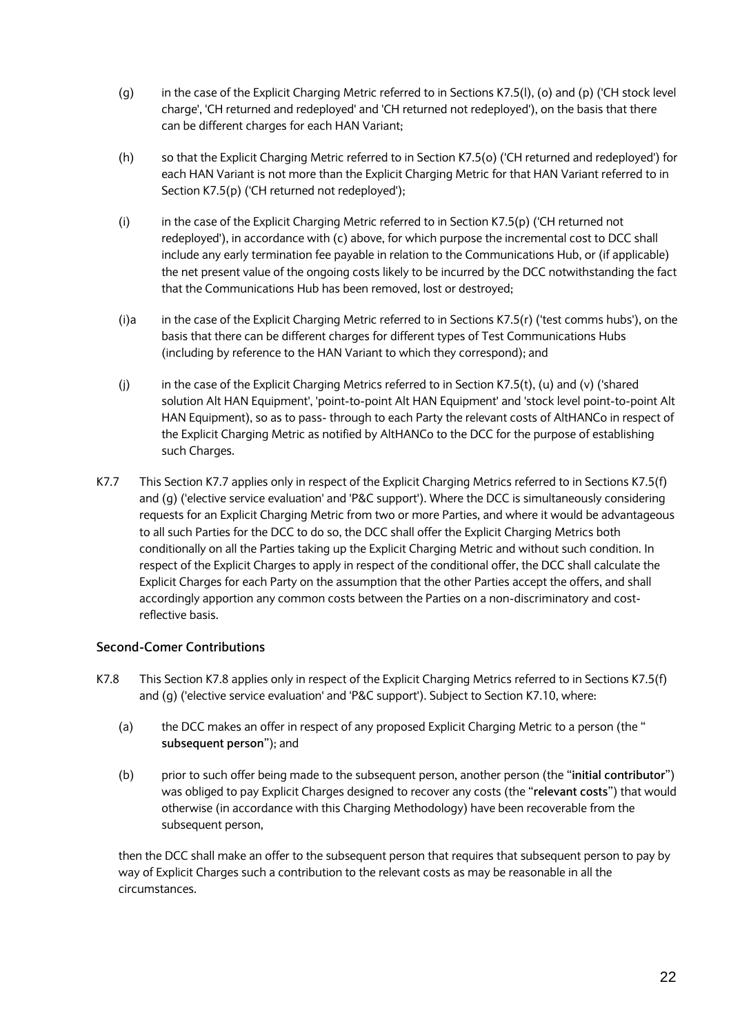- (g) in the case of the Explicit Charging Metric referred to in Sections K7.5(l), (o) and (p) ('CH stock level charge', 'CH returned and redeployed' and 'CH returned not redeployed'), on the basis that there can be different charges for each HAN Variant;
- (h) so that the Explicit Charging Metric referred to in Section K7.5(o) ('CH returned and redeployed') for each HAN Variant is not more than the Explicit Charging Metric for that HAN Variant referred to in Section K7.5(p) ('CH returned not redeployed');
- (i) in the case of the Explicit Charging Metric referred to in Section K7.5(p) ('CH returned not redeployed'), in accordance with (c) above, for which purpose the incremental cost to DCC shall include any early termination fee payable in relation to the Communications Hub, or (if applicable) the net present value of the ongoing costs likely to be incurred by the DCC notwithstanding the fact that the Communications Hub has been removed, lost or destroyed;
- (i)a in the case of the Explicit Charging Metric referred to in Sections K7.5(r) ('test comms hubs'), on the basis that there can be different charges for different types of Test Communications Hubs (including by reference to the HAN Variant to which they correspond); and
- (i) in the case of the Explicit Charging Metrics referred to in Section K7.5(t), (u) and (v) ('shared solution Alt HAN Equipment', 'point-to-point Alt HAN Equipment' and 'stock level point-to-point Alt HAN Equipment), so as to pass- through to each Party the relevant costs of AltHANCo in respect of the Explicit Charging Metric as notified by AltHANCo to the DCC for the purpose of establishing such Charges.
- K7.7 This Section K7.7 applies only in respect of the Explicit Charging Metrics referred to in Sections K7.5(f) and (g) ('elective service evaluation' and 'P&C support'). Where the DCC is simultaneously considering requests for an Explicit Charging Metric from two or more Parties, and where it would be advantageous to all such Parties for the DCC to do so, the DCC shall offer the Explicit Charging Metrics both conditionally on all the Parties taking up the Explicit Charging Metric and without such condition. In respect of the Explicit Charges to apply in respect of the conditional offer, the DCC shall calculate the Explicit Charges for each Party on the assumption that the other Parties accept the offers, and shall accordingly apportion any common costs between the Parties on a non-discriminatory and costreflective basis.

## **Second-Comer Contributions**

- K7.8 This Section K7.8 applies only in respect of the Explicit Charging Metrics referred to in Sections K7.5(f) and (g) ('elective service evaluation' and 'P&C support'). Subject to Section K7.10, where:
	- (a) the DCC makes an offer in respect of any proposed Explicit Charging Metric to a person (the " **subsequent person**"); and
	- (b) prior to such offer being made to the subsequent person, another person (the "**initial contributor**") was obliged to pay Explicit Charges designed to recover any costs (the "**relevant costs**") that would otherwise (in accordance with this Charging Methodology) have been recoverable from the subsequent person,

then the DCC shall make an offer to the subsequent person that requires that subsequent person to pay by way of Explicit Charges such a contribution to the relevant costs as may be reasonable in all the circumstances.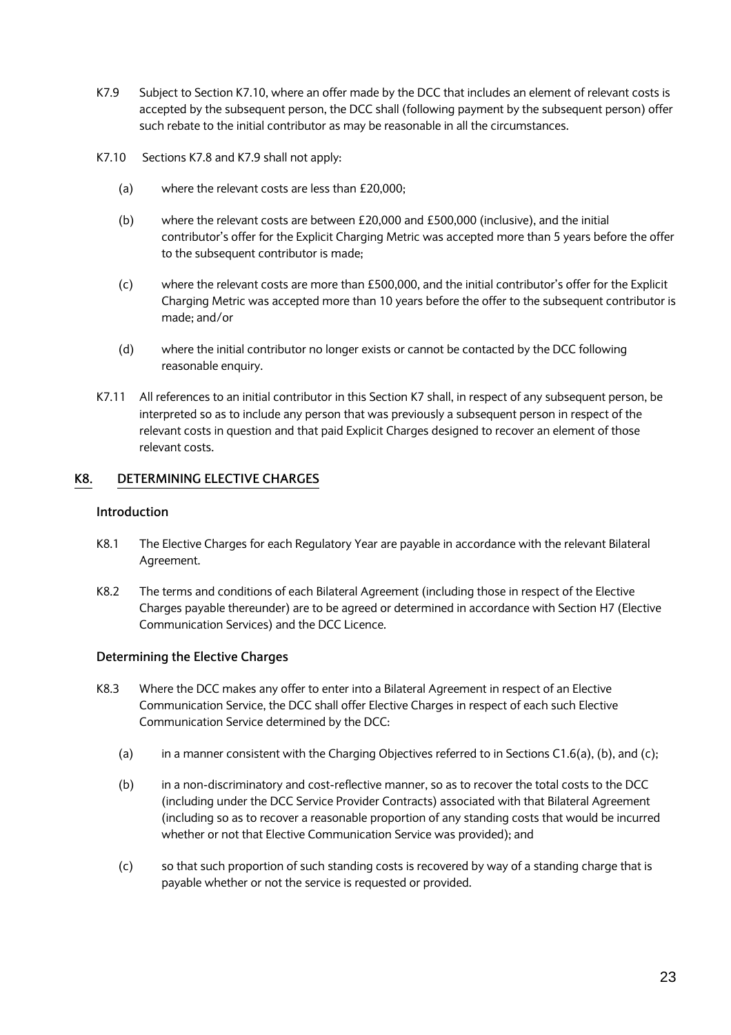- K7.9 Subject to Section K7.10, where an offer made by the DCC that includes an element of relevant costs is accepted by the subsequent person, the DCC shall (following payment by the subsequent person) offer such rebate to the initial contributor as may be reasonable in all the circumstances.
- K7.10 Sections K7.8 and K7.9 shall not apply:
	- (a) where the relevant costs are less than £20,000;
	- (b) where the relevant costs are between £20,000 and £500,000 (inclusive), and the initial contributor's offer for the Explicit Charging Metric was accepted more than 5 years before the offer to the subsequent contributor is made;
	- (c) where the relevant costs are more than £500,000, and the initial contributor's offer for the Explicit Charging Metric was accepted more than 10 years before the offer to the subsequent contributor is made; and/or
	- (d) where the initial contributor no longer exists or cannot be contacted by the DCC following reasonable enquiry.
- K7.11 All references to an initial contributor in this Section K7 shall, in respect of any subsequent person, be interpreted so as to include any person that was previously a subsequent person in respect of the relevant costs in question and that paid Explicit Charges designed to recover an element of those relevant costs.

## **K8. DETERMINING ELECTIVE CHARGES**

### **Introduction**

- K8.1 The Elective Charges for each Regulatory Year are payable in accordance with the relevant Bilateral Agreement.
- K8.2 The terms and conditions of each Bilateral Agreement (including those in respect of the Elective Charges payable thereunder) are to be agreed or determined in accordance with Section H7 (Elective Communication Services) and the DCC Licence.

## **Determining the Elective Charges**

- K8.3 Where the DCC makes any offer to enter into a Bilateral Agreement in respect of an Elective Communication Service, the DCC shall offer Elective Charges in respect of each such Elective Communication Service determined by the DCC:
	- (a) in a manner consistent with the Charging Objectives referred to in Sections C1.6(a), (b), and (c);
	- (b) in a non-discriminatory and cost-reflective manner, so as to recover the total costs to the DCC (including under the DCC Service Provider Contracts) associated with that Bilateral Agreement (including so as to recover a reasonable proportion of any standing costs that would be incurred whether or not that Elective Communication Service was provided); and
	- (c) so that such proportion of such standing costs is recovered by way of a standing charge that is payable whether or not the service is requested or provided.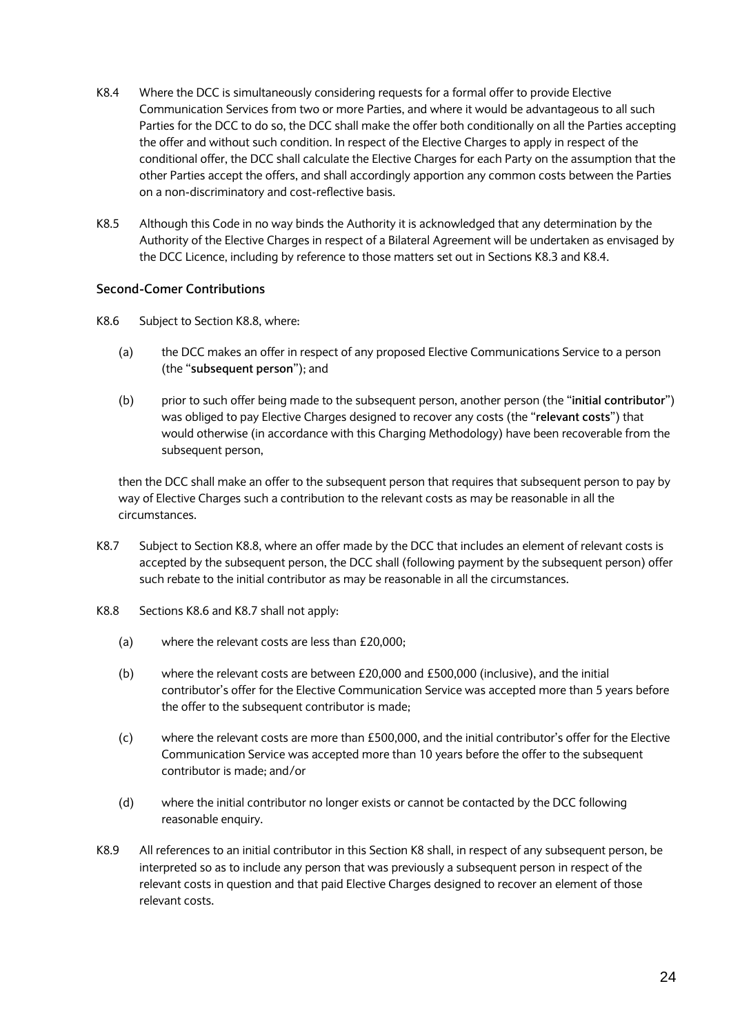- K8.4 Where the DCC is simultaneously considering requests for a formal offer to provide Elective Communication Services from two or more Parties, and where it would be advantageous to all such Parties for the DCC to do so, the DCC shall make the offer both conditionally on all the Parties accepting the offer and without such condition. In respect of the Elective Charges to apply in respect of the conditional offer, the DCC shall calculate the Elective Charges for each Party on the assumption that the other Parties accept the offers, and shall accordingly apportion any common costs between the Parties on a non-discriminatory and cost-reflective basis.
- K8.5 Although this Code in no way binds the Authority it is acknowledged that any determination by the Authority of the Elective Charges in respect of a Bilateral Agreement will be undertaken as envisaged by the DCC Licence, including by reference to those matters set out in Sections K8.3 and K8.4.

## **Second-Comer Contributions**

- K8.6 Subject to Section K8.8, where:
	- (a) the DCC makes an offer in respect of any proposed Elective Communications Service to a person (the "**subsequent person**"); and
	- (b) prior to such offer being made to the subsequent person, another person (the "**initial contributor**") was obliged to pay Elective Charges designed to recover any costs (the "**relevant costs**") that would otherwise (in accordance with this Charging Methodology) have been recoverable from the subsequent person,

then the DCC shall make an offer to the subsequent person that requires that subsequent person to pay by way of Elective Charges such a contribution to the relevant costs as may be reasonable in all the circumstances.

- K8.7 Subject to Section K8.8, where an offer made by the DCC that includes an element of relevant costs is accepted by the subsequent person, the DCC shall (following payment by the subsequent person) offer such rebate to the initial contributor as may be reasonable in all the circumstances.
- K8.8 Sections K8.6 and K8.7 shall not apply:
	- (a) where the relevant costs are less than £20,000;
	- (b) where the relevant costs are between £20,000 and £500,000 (inclusive), and the initial contributor's offer for the Elective Communication Service was accepted more than 5 years before the offer to the subsequent contributor is made;
	- (c) where the relevant costs are more than £500,000, and the initial contributor's offer for the Elective Communication Service was accepted more than 10 years before the offer to the subsequent contributor is made; and/or
	- (d) where the initial contributor no longer exists or cannot be contacted by the DCC following reasonable enquiry.
- K8.9 All references to an initial contributor in this Section K8 shall, in respect of any subsequent person, be interpreted so as to include any person that was previously a subsequent person in respect of the relevant costs in question and that paid Elective Charges designed to recover an element of those relevant costs.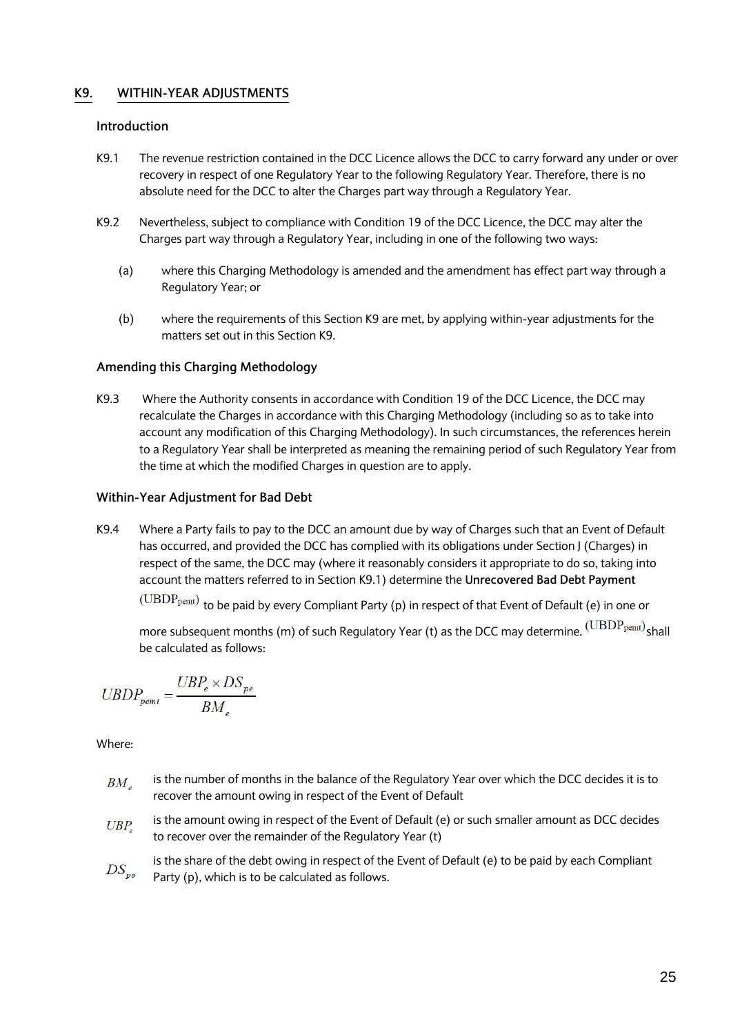## **K9. WITHIN-YEAR ADJUSTMENTS**

### **Introduction**

- K9.1 The revenue restriction contained in the DCC Licence allows the DCC to carry forward any under or over recovery in respect of one Regulatory Year to the following Regulatory Year. Therefore, there is no absolute need for the DCC to alter the Charges part way through a Regulatory Year.
- K9.2 Nevertheless, subject to compliance with Condition 19 of the DCC Licence, the DCC may alter the Charges part way through a Regulatory Year, including in one of the following two ways:
	- (a) where this Charging Methodology is amended and the amendment has effect part way through a Regulatory Year; or
	- (b) where the requirements of this Section K9 are met, by applying within-year adjustments for the matters set out in this Section K9.

### **Amending this Charging Methodology**

K9.3 Where the Authority consents in accordance with Condition 19 of the DCC Licence, the DCC may recalculate the Charges in accordance with this Charging Methodology (including so as to take into account any modification of this Charging Methodology). In such circumstances, the references herein to a Regulatory Year shall be interpreted as meaning the remaining period of such Regulatory Year from the time at which the modified Charges in question are to apply.

### **Within-Year Adjustment for Bad Debt**

K9.4 Where a Party fails to pay to the DCC an amount due by way of Charges such that an Event of Default has occurred, and provided the DCC has complied with its obligations under Section J (Charges) in respect of the same, the DCC may (where it reasonably considers it appropriate to do so, taking into account the matters referred to in Section K9.1) determine the **Unrecovered Bad Debt Payment**

 $(UBDP_{\text{pemt}})$  to be paid by every Compliant Party (p) in respect of that Event of Default (e) in one or

more subsequent months (m) of such Regulatory Year (t) as the DCC may determine.  $(\mathrm{UBDP_{\mathrm{pemt}}})$ shall be calculated as follows:

$$
UBDP_{\textit{pemt}} = \frac{UBP_e \times DS_{\textit{pe}}}{BM}
$$

- is the number of months in the balance of the Regulatory Year over which the DCC decides it is to  $BM_{\alpha}$ recover the amount owing in respect of the Event of Default
- is the amount owing in respect of the Event of Default (e) or such smaller amount as DCC decides  $UBP_{c}$ to recover over the remainder of the Regulatory Year (t)
- is the share of the debt owing in respect of the Event of Default (e) to be paid by each Compliant  $DS_{pe}$ Party (p), which is to be calculated as follows.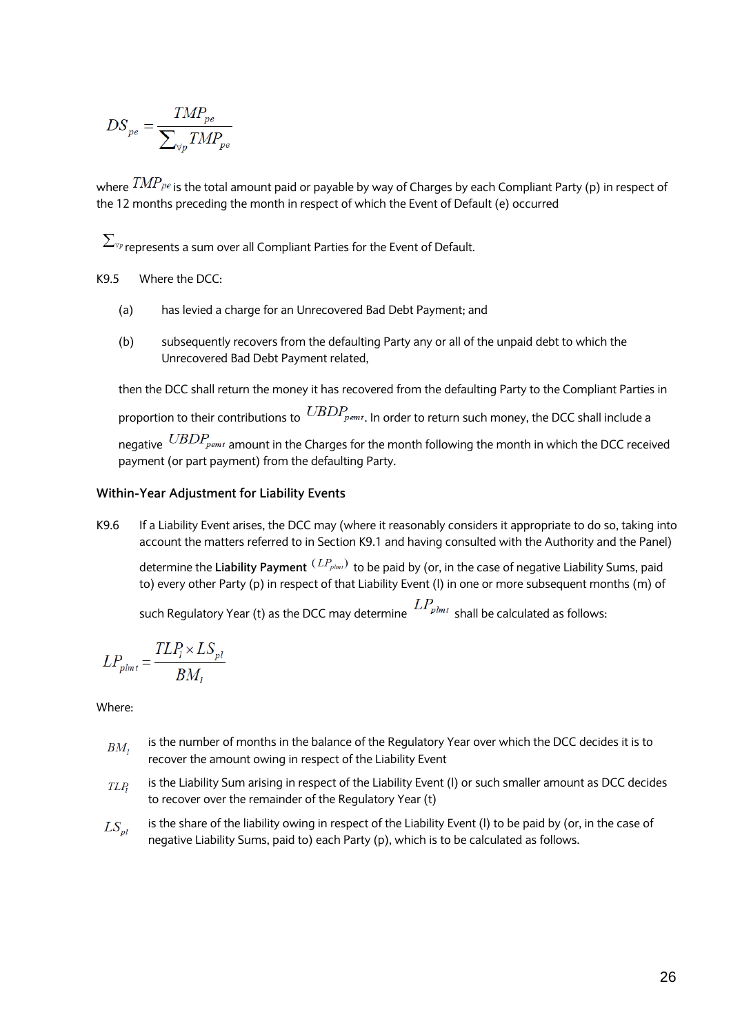$$
DS_{pe} = \frac{TMP_{pe}}{\sum_{\forall p} TMP_{pe}}
$$

where  $\overline{IMP_{pe}}$  is the total amount paid or payable by way of Charges by each Compliant Party (p) in respect of the 12 months preceding the month in respect of which the Event of Default (e) occurred

 $\sum_{\forall p}$  represents a sum over all Compliant Parties for the Event of Default.

K9.5 Where the DCC:

- (a) has levied a charge for an Unrecovered Bad Debt Payment; and
- (b) subsequently recovers from the defaulting Party any or all of the unpaid debt to which the Unrecovered Bad Debt Payment related,

then the DCC shall return the money it has recovered from the defaulting Party to the Compliant Parties in proportion to their contributions to  $\text{UBDP}_{\text{pemt}}$ . In order to return such money, the DCC shall include a negative  $\it{UBDP}_{\it{pemt}}$  amount in the Charges for the month following the month in which the DCC received payment (or part payment) from the defaulting Party.

#### **Within-Year Adjustment for Liability Events**

K9.6 If a Liability Event arises, the DCC may (where it reasonably considers it appropriate to do so, taking into account the matters referred to in Section K9.1 and having consulted with the Authority and the Panel)

determine the Liability Payment<sup>(LP<sub>plmt</sub>)</sup> to be paid by (or, in the case of negative Liability Sums, paid to) every other Party (p) in respect of that Liability Event (l) in one or more subsequent months (m) of

such Regulatory Year (t) as the DCC may determine  $LP_{p^{lmt}}$  shall be calculated as follows:

$$
LP_{\mathit{plmt}} = \frac{TLP_l \times LS_{\mathit{pl}}}{BM_l}
$$

- is the number of months in the balance of the Regulatory Year over which the DCC decides it is to  $BM,$ recover the amount owing in respect of the Liability Event
- is the Liability Sum arising in respect of the Liability Event (l) or such smaller amount as DCC decides  $TLP_1$ to recover over the remainder of the Regulatory Year (t)
- is the share of the liability owing in respect of the Liability Event (l) to be paid by (or, in the case of  $LS_{pl}$ negative Liability Sums, paid to) each Party (p), which is to be calculated as follows.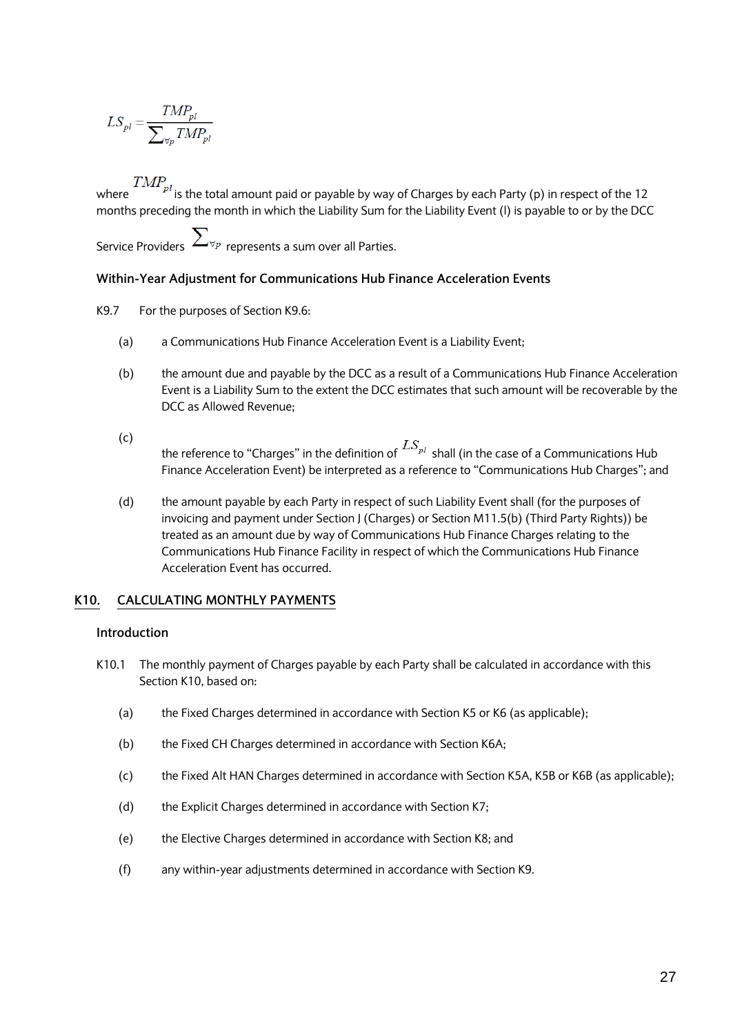$$
LS_{pl} = \frac{TMP_{pl}}{\sum_{\forall p}TMP_{pl}}
$$

 $TMP_{pl}$  is the total amount paid or payable by way of Charges by each Party (p) in respect of the 12 months preceding the month in which the Liability Sum for the Liability Event (l) is payable to or by the DCC

Service Providers  $\sum_{\forall p \text{ represents a sum over all Parties.}}$ 

## **Within-Year Adjustment for Communications Hub Finance Acceleration Events**

- K9.7 For the purposes of Section K9.6:
	- (a) a Communications Hub Finance Acceleration Event is a Liability Event;
	- (b) the amount due and payable by the DCC as a result of a Communications Hub Finance Acceleration Event is a Liability Sum to the extent the DCC estimates that such amount will be recoverable by the DCC as Allowed Revenue;
	- $(c)$ the reference to "Charges" in the definition of  $^{LS_{pl}}$  shall (in the case of a Communications Hub Finance Acceleration Event) be interpreted as a reference to "Communications Hub Charges"; and
	- (d) the amount payable by each Party in respect of such Liability Event shall (for the purposes of invoicing and payment under Section J (Charges) or Section M11.5(b) (Third Party Rights)) be treated as an amount due by way of Communications Hub Finance Charges relating to the Communications Hub Finance Facility in respect of which the Communications Hub Finance Acceleration Event has occurred.

#### **K10. CALCULATING MONTHLY PAYMENTS**

### **Introduction**

- K10.1 The monthly payment of Charges payable by each Party shall be calculated in accordance with this Section K10, based on:
	- (a) the Fixed Charges determined in accordance with Section K5 or K6 (as applicable);
	- (b) the Fixed CH Charges determined in accordance with Section K6A;
	- (c) the Fixed Alt HAN Charges determined in accordance with Section K5A, K5B or K6B (as applicable);
	- (d) the Explicit Charges determined in accordance with Section K7;
	- (e) the Elective Charges determined in accordance with Section K8; and
	- (f) any within-year adjustments determined in accordance with Section K9.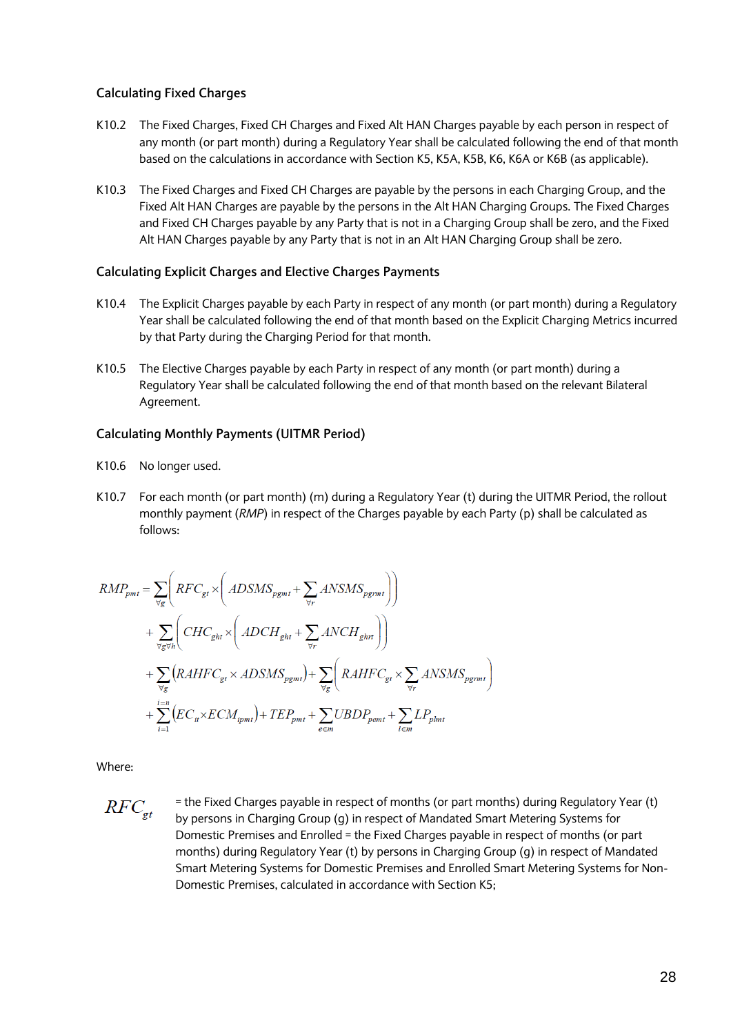### **Calculating Fixed Charges**

- K10.2 The Fixed Charges, Fixed CH Charges and Fixed Alt HAN Charges payable by each person in respect of any month (or part month) during a Regulatory Year shall be calculated following the end of that month based on the calculations in accordance with Section K5, K5A, K5B, K6, K6A or K6B (as applicable).
- K10.3 The Fixed Charges and Fixed CH Charges are payable by the persons in each Charging Group, and the Fixed Alt HAN Charges are payable by the persons in the Alt HAN Charging Groups. The Fixed Charges and Fixed CH Charges payable by any Party that is not in a Charging Group shall be zero, and the Fixed Alt HAN Charges payable by any Party that is not in an Alt HAN Charging Group shall be zero.

### **Calculating Explicit Charges and Elective Charges Payments**

- K10.4 The Explicit Charges payable by each Party in respect of any month (or part month) during a Regulatory Year shall be calculated following the end of that month based on the Explicit Charging Metrics incurred by that Party during the Charging Period for that month.
- K10.5 The Elective Charges payable by each Party in respect of any month (or part month) during a Regulatory Year shall be calculated following the end of that month based on the relevant Bilateral Agreement.

#### **Calculating Monthly Payments (UITMR Period)**

- K10.6 No longer used.
- K10.7 For each month (or part month) (m) during a Regulatory Year (t) during the UITMR Period, the rollout monthly payment (*RMP*) in respect of the Charges payable by each Party (p) shall be calculated as follows:

$$
RMP_{pmt} = \sum_{\forall g} \left( RFC_{gt} \times \left( ADSMS_{pgmt} + \sum_{\forall r} ANSWMS_{pgmt} \right) \right)
$$
  
+ 
$$
\sum_{\forall g \forall h} \left( CHC_{ght} \times \left( ADCH_{ght} + \sum_{\forall r} ANCH_{ghrt} \right) \right)
$$
  
+ 
$$
\sum_{\forall g} \left( RAHFC_{gt} \times ADSMS_{pgmt} \right) + \sum_{\forall g} \left( RAHFC_{gt} \times \sum_{\forall r} ANSWMS_{pgmt} \right)
$$
  
+ 
$$
\sum_{i=1}^{i=n} \left( EC_{it} \times ECM_{ipmt} \right) + TEP_{pmt} + \sum_{e \in m} UBDP_{pemt} + \sum_{l \in m} LP_{plmt}
$$

Where:

 $RFC_{gt}$ = the Fixed Charges payable in respect of months (or part months) during Regulatory Year (t) by persons in Charging Group (g) in respect of Mandated Smart Metering Systems for Domestic Premises and Enrolled = the Fixed Charges payable in respect of months (or part months) during Regulatory Year (t) by persons in Charging Group (g) in respect of Mandated Smart Metering Systems for Domestic Premises and Enrolled Smart Metering Systems for Non-Domestic Premises, calculated in accordance with Section K5;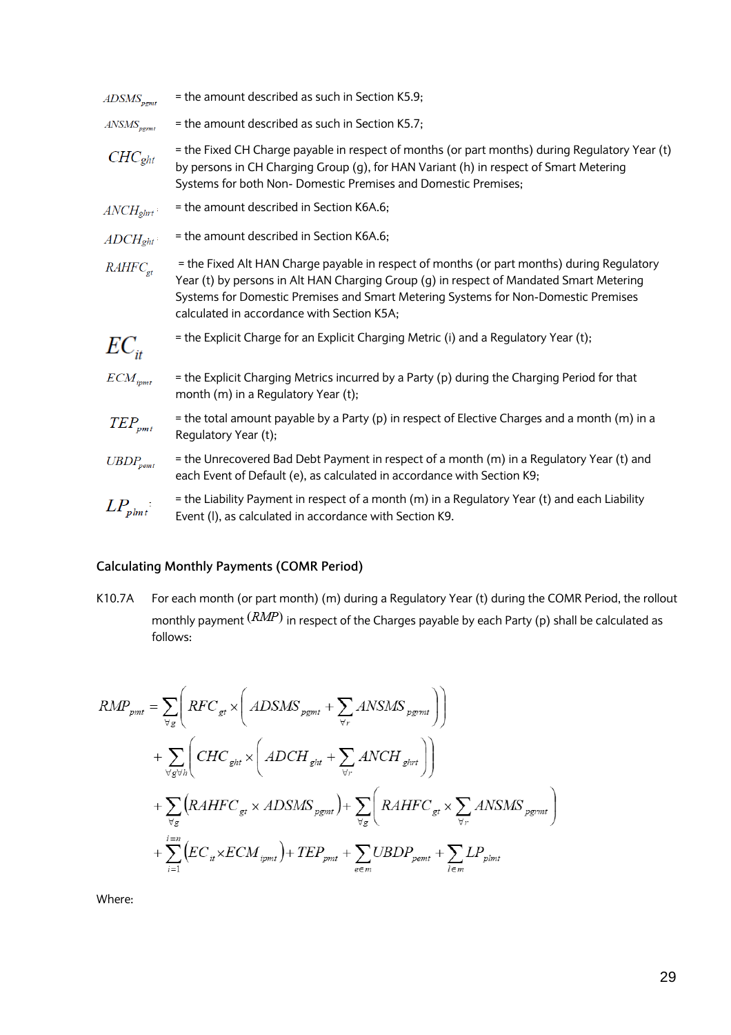| $ADSMS_{\text{pgmt}}$            | = the amount described as such in Section K5.9;                                                                                                                                                                                                                                                                           |
|----------------------------------|---------------------------------------------------------------------------------------------------------------------------------------------------------------------------------------------------------------------------------------------------------------------------------------------------------------------------|
| $ANSMS_{pgmt}$                   | = the amount described as such in Section K5.7;                                                                                                                                                                                                                                                                           |
| $CHC_{ght}$                      | = the Fixed CH Charge payable in respect of months (or part months) during Regulatory Year (t)<br>by persons in CH Charging Group (g), for HAN Variant (h) in respect of Smart Metering<br>Systems for both Non- Domestic Premises and Domestic Premises;                                                                 |
| $\mathit{ANCH}_{ghrt}$           | = the amount described in Section K6A.6;                                                                                                                                                                                                                                                                                  |
| $\mathit{ADCH}_{\mathit{ght}}$   | = the amount described in Section K6A.6;                                                                                                                                                                                                                                                                                  |
| RAHFC <sub>et</sub>              | = the Fixed Alt HAN Charge payable in respect of months (or part months) during Regulatory<br>Year (t) by persons in Alt HAN Charging Group (g) in respect of Mandated Smart Metering<br>Systems for Domestic Premises and Smart Metering Systems for Non-Domestic Premises<br>calculated in accordance with Section K5A; |
| $EC_{it}$                        | = the Explicit Charge for an Explicit Charging Metric (i) and a Regulatory Year (t);                                                                                                                                                                                                                                      |
| $ECM_{ipmt}$                     | = the Explicit Charging Metrics incurred by a Party (p) during the Charging Period for that<br>month (m) in a Regulatory Year (t);                                                                                                                                                                                        |
| $\mathit{TEP}_{pmt}$             | = the total amount payable by a Party (p) in respect of Elective Charges and a month (m) in a<br>Regulatory Year (t);                                                                                                                                                                                                     |
| $UBDP_{\textit{pemt}}$           | = the Unrecovered Bad Debt Payment in respect of a month (m) in a Regulatory Year (t) and<br>each Event of Default (e), as calculated in accordance with Section K9;                                                                                                                                                      |
| $LP_{\scriptscriptstyle plmt}$ : | = the Liability Payment in respect of a month (m) in a Regulatory Year (t) and each Liability<br>Event (I), as calculated in accordance with Section K9.                                                                                                                                                                  |
|                                  |                                                                                                                                                                                                                                                                                                                           |

# **Calculating Monthly Payments (COMR Period)**

K10.7A For each month (or part month) (m) during a Regulatory Year (t) during the COMR Period, the rollout monthly payment  $\left (RMP\right )$  in respect of the Charges payable by each Party (p) shall be calculated as follows:

$$
RMP_{pmt} = \sum_{\forall g} \left( RFC_{gt} \times \left( ADSMS_{pgmt} + \sum_{\forall r} ANSWMS_{pgmt} \right) \right)
$$
  
+ 
$$
\sum_{\forall g \forall h} \left( CHC_{ght} \times \left( ADCH_{ght} + \sum_{\forall r} ANCH_{ghrt} \right) \right)
$$
  
+ 
$$
\sum_{\forall g} \left( RAHFC_{gt} \times ADSMS_{pgmt} \right) + \sum_{\forall g} \left( RAHFC_{gt} \times \sum_{\forall r} ANSWMS_{pgmt} \right)
$$
  
+ 
$$
\sum_{i=1}^{i=n} \left( EC_{it} \times ECM_{ipmt} \right) + TEP_{pmt} + \sum_{e \in m} UBDP_{pemt} + \sum_{l \in m} LP_{plmt}
$$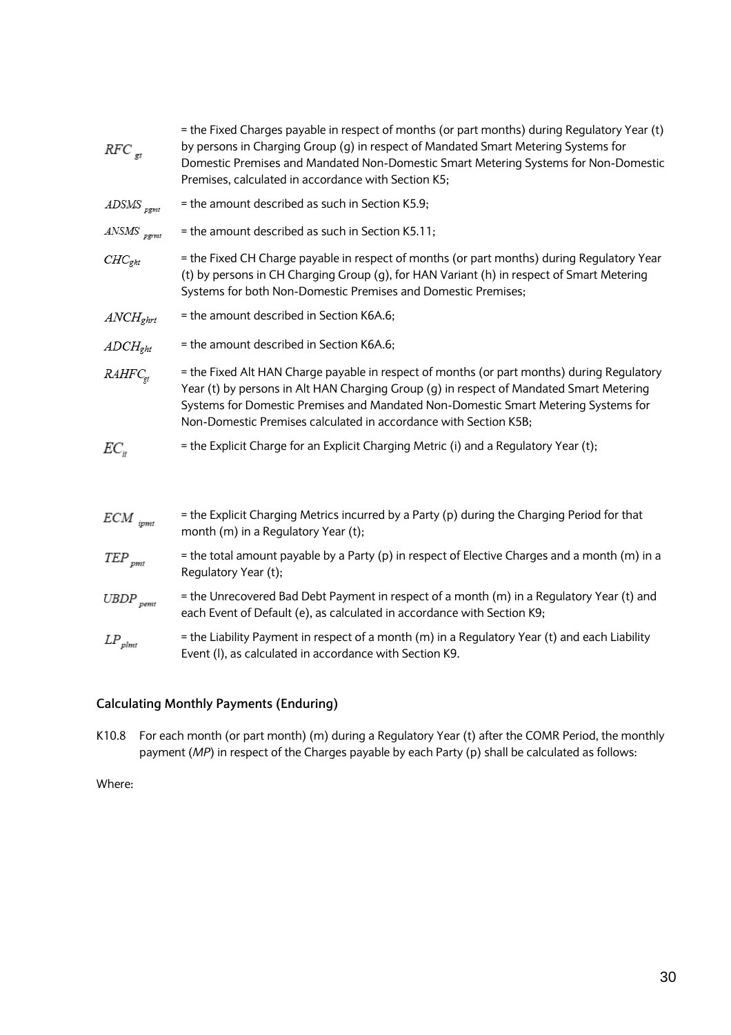| $RFC_{gt}$                  | = the Fixed Charges payable in respect of months (or part months) during Regulatory Year (t)<br>by persons in Charging Group (g) in respect of Mandated Smart Metering Systems for<br>Domestic Premises and Mandated Non-Domestic Smart Metering Systems for Non-Domestic<br>Premises, calculated in accordance with Section K5;                |
|-----------------------------|-------------------------------------------------------------------------------------------------------------------------------------------------------------------------------------------------------------------------------------------------------------------------------------------------------------------------------------------------|
| $ADSMS$ <sub>pgmt</sub>     | = the amount described as such in Section K5.9;                                                                                                                                                                                                                                                                                                 |
| $ANSMS$ <sub>pgrmt</sub>    | = the amount described as such in Section K5.11;                                                                                                                                                                                                                                                                                                |
| $CHC_{ght}$                 | = the Fixed CH Charge payable in respect of months (or part months) during Regulatory Year<br>(t) by persons in CH Charging Group (g), for HAN Variant (h) in respect of Smart Metering<br>Systems for both Non-Domestic Premises and Domestic Premises;                                                                                        |
| $\mathit{ANCH}_{ghrt}$      | = the amount described in Section K6A.6;                                                                                                                                                                                                                                                                                                        |
| $\text{ADCH}_{\text{ght}}$  | = the amount described in Section K6A.6;                                                                                                                                                                                                                                                                                                        |
| RAHFC <sub>gt</sub>         | = the Fixed Alt HAN Charge payable in respect of months (or part months) during Regulatory<br>Year (t) by persons in Alt HAN Charging Group (g) in respect of Mandated Smart Metering<br>Systems for Domestic Premises and Mandated Non-Domestic Smart Metering Systems for<br>Non-Domestic Premises calculated in accordance with Section K5B; |
| $EC_{H}$                    | = the Explicit Charge for an Explicit Charging Metric (i) and a Regulatory Year (t);                                                                                                                                                                                                                                                            |
| $ECM$ <sub>ipmt</sub>       | = the Explicit Charging Metrics incurred by a Party (p) during the Charging Period for that<br>month (m) in a Regulatory Year (t);                                                                                                                                                                                                              |
| $\mathit{TEP}_\mathit{pm}$  | = the total amount payable by a Party (p) in respect of Elective Charges and a month (m) in a<br>Regulatory Year (t);                                                                                                                                                                                                                           |
| $UBDP$ <sub>pemt</sub>      | = the Unrecovered Bad Debt Payment in respect of a month (m) in a Regulatory Year (t) and<br>each Event of Default (e), as calculated in accordance with Section K9;                                                                                                                                                                            |
| $\mathit{LP}_\mathit{plmt}$ | = the Liability Payment in respect of a month (m) in a Regulatory Year (t) and each Liability<br>Event (I), as calculated in accordance with Section K9.                                                                                                                                                                                        |
|                             |                                                                                                                                                                                                                                                                                                                                                 |

## **Calculating Monthly Payments (Enduring)**

K10.8 For each month (or part month) (m) during a Regulatory Year (t) after the COMR Period, the monthly payment (*MP*) in respect of the Charges payable by each Party (p) shall be calculated as follows: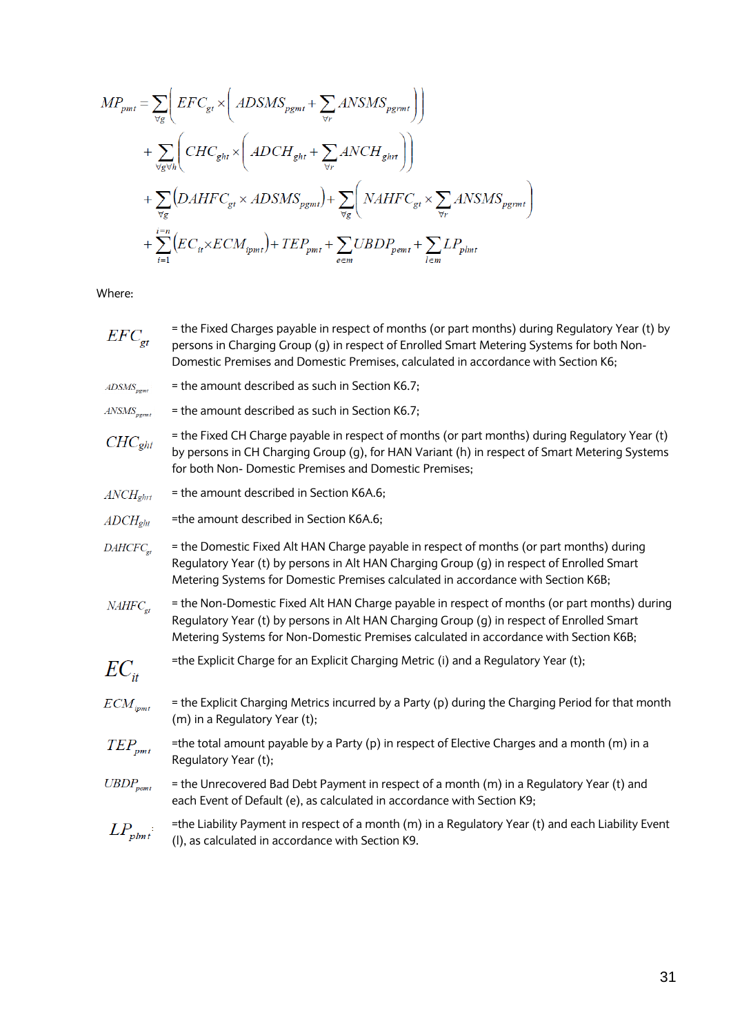$$
MP_{pmt} = \sum_{\forall g} \Bigg( EFC_{gt} \times \Bigg( ADSMS_{pgmt} + \sum_{\forall r} ANSMS_{pgmt} \Bigg) \Bigg) + \sum_{\forall g \forall h} \Bigg( CHC_{ght} \times \Bigg( ADCH_{ght} + \sum_{\forall r} ANCH_{ghrt} \Bigg) \Bigg) + \sum_{\forall g} \Big(DAHFC_{gt} \times ADSMS_{pgmt} \Bigg) + \sum_{\forall g} \Big( NAHFC_{gt} \times \sum_{\forall r} ANSMS_{pgmt} \Bigg) + \sum_{i=1}^{i=n} \Big( EC_{ii} \times ECM_{ipmt} \Bigg) + TEP_{pmt} + \sum_{e \in m} UBDP_{pemt} + \sum_{l \in m} LP_{plmt}
$$

- = the Fixed Charges payable in respect of months (or part months) during Regulatory Year (t) by  $EFC_{et}$ persons in Charging Group (g) in respect of Enrolled Smart Metering Systems for both Non-Domestic Premises and Domestic Premises, calculated in accordance with Section K6;
- $ADSMS_{\textit{pgmt}}$ = the amount described as such in Section K6.7;
- $ANSMS_{\textit{perm}t}$ = the amount described as such in Section K6.7;
- = the Fixed CH Charge payable in respect of months (or part months) during Regulatory Year (t)  $CHC<sub>ght</sub>$ by persons in CH Charging Group (g), for HAN Variant (h) in respect of Smart Metering Systems for both Non- Domestic Premises and Domestic Premises;
- $\mathit{ANCH}_{\mathit{ehrt}}$ = the amount described in Section K6A.6;
- =the amount described in Section K6A.6;  $ADCH<sub>zht</sub>$
- = the Domestic Fixed Alt HAN Charge payable in respect of months (or part months) during  $DAHCFC_{at}$ Regulatory Year (t) by persons in Alt HAN Charging Group (g) in respect of Enrolled Smart Metering Systems for Domestic Premises calculated in accordance with Section K6B;
- = the Non-Domestic Fixed Alt HAN Charge payable in respect of months (or part months) during  $NAHFC_{at}$ Regulatory Year (t) by persons in Alt HAN Charging Group (g) in respect of Enrolled Smart Metering Systems for Non-Domestic Premises calculated in accordance with Section K6B;
- =the Explicit Charge for an Explicit Charging Metric (i) and a Regulatory Year (t);  $EC_{\mu}$
- $ECM_{ipmt}$ = the Explicit Charging Metrics incurred by a Party (p) during the Charging Period for that month (m) in a Regulatory Year (t);
- =the total amount payable by a Party (p) in respect of Elective Charges and a month (m) in a  $TEP_{nmt}$ Regulatory Year (t);
- $UBDP_{\textit{pemt}}$ = the Unrecovered Bad Debt Payment in respect of a month (m) in a Regulatory Year (t) and each Event of Default (e), as calculated in accordance with Section K9;
- $LP_{\text{plmt}}$ =the Liability Payment in respect of a month (m) in a Regulatory Year (t) and each Liability Event (l), as calculated in accordance with Section K9.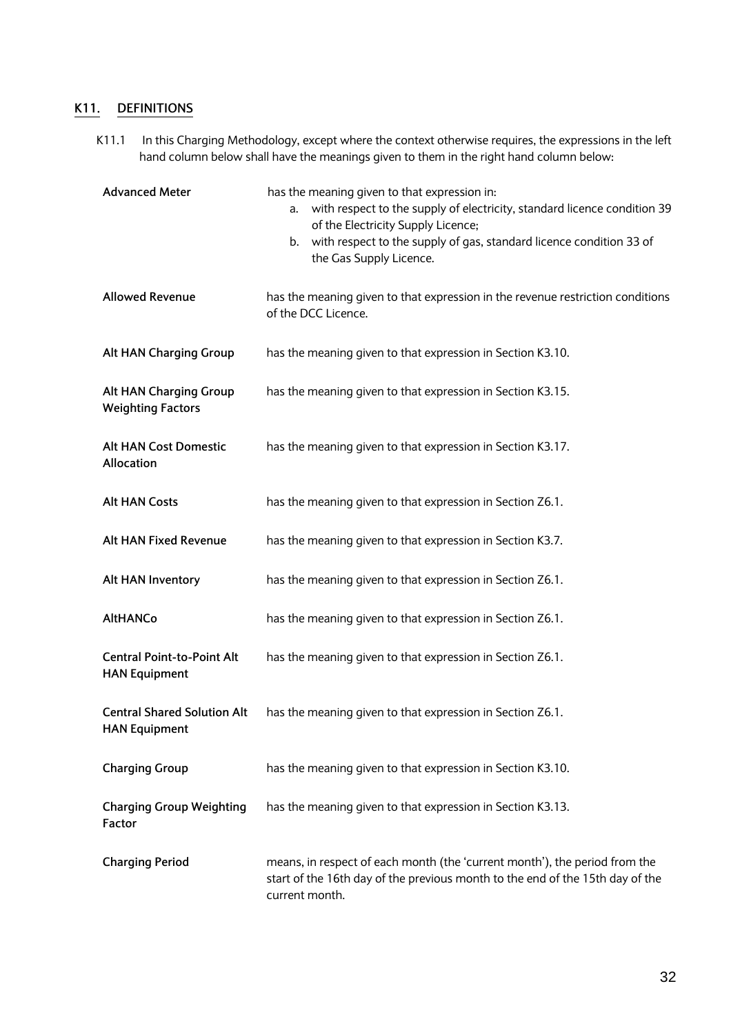## **K11. DEFINITIONS**

K11.1 In this Charging Methodology, except where the context otherwise requires, the expressions in the left hand column below shall have the meanings given to them in the right hand column below:

| <b>Advanced Meter</b>                                      | has the meaning given to that expression in:<br>with respect to the supply of electricity, standard licence condition 39<br>а. –<br>of the Electricity Supply Licence;<br>b. with respect to the supply of gas, standard licence condition 33 of<br>the Gas Supply Licence. |
|------------------------------------------------------------|-----------------------------------------------------------------------------------------------------------------------------------------------------------------------------------------------------------------------------------------------------------------------------|
| <b>Allowed Revenue</b>                                     | has the meaning given to that expression in the revenue restriction conditions<br>of the DCC Licence.                                                                                                                                                                       |
| Alt HAN Charging Group                                     | has the meaning given to that expression in Section K3.10.                                                                                                                                                                                                                  |
| Alt HAN Charging Group<br><b>Weighting Factors</b>         | has the meaning given to that expression in Section K3.15.                                                                                                                                                                                                                  |
| <b>Alt HAN Cost Domestic</b><br>Allocation                 | has the meaning given to that expression in Section K3.17.                                                                                                                                                                                                                  |
| <b>Alt HAN Costs</b>                                       | has the meaning given to that expression in Section Z6.1.                                                                                                                                                                                                                   |
| Alt HAN Fixed Revenue                                      | has the meaning given to that expression in Section K3.7.                                                                                                                                                                                                                   |
| Alt HAN Inventory                                          | has the meaning given to that expression in Section Z6.1.                                                                                                                                                                                                                   |
| <b>AltHANCo</b>                                            | has the meaning given to that expression in Section Z6.1.                                                                                                                                                                                                                   |
| <b>Central Point-to-Point Alt</b><br><b>HAN Equipment</b>  | has the meaning given to that expression in Section Z6.1.                                                                                                                                                                                                                   |
| <b>Central Shared Solution Alt</b><br><b>HAN Equipment</b> | has the meaning given to that expression in Section Z6.1.                                                                                                                                                                                                                   |
| <b>Charging Group</b>                                      | has the meaning given to that expression in Section K3.10.                                                                                                                                                                                                                  |
| <b>Charging Group Weighting</b><br>Factor                  | has the meaning given to that expression in Section K3.13.                                                                                                                                                                                                                  |
| <b>Charging Period</b>                                     | means, in respect of each month (the 'current month'), the period from the<br>start of the 16th day of the previous month to the end of the 15th day of the<br>current month.                                                                                               |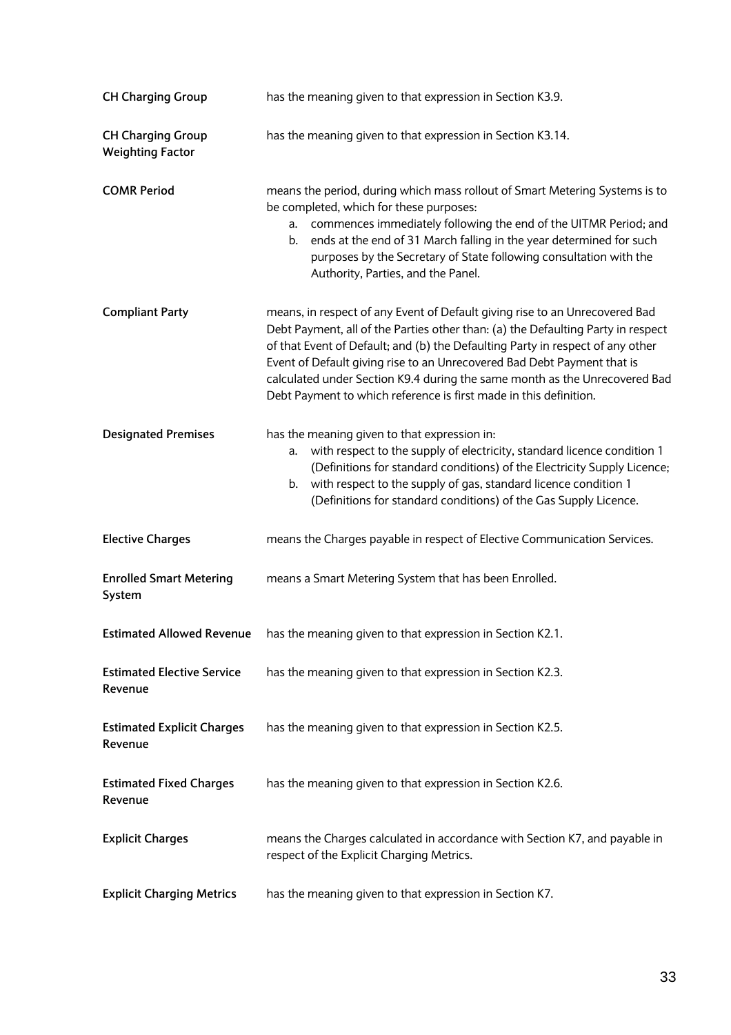| <b>CH Charging Group</b>                            | has the meaning given to that expression in Section K3.9.                                                                                                                                                                                                                                                                                                                                                                                                                       |
|-----------------------------------------------------|---------------------------------------------------------------------------------------------------------------------------------------------------------------------------------------------------------------------------------------------------------------------------------------------------------------------------------------------------------------------------------------------------------------------------------------------------------------------------------|
| <b>CH Charging Group</b><br><b>Weighting Factor</b> | has the meaning given to that expression in Section K3.14.                                                                                                                                                                                                                                                                                                                                                                                                                      |
| <b>COMR Period</b>                                  | means the period, during which mass rollout of Smart Metering Systems is to<br>be completed, which for these purposes:<br>a. commences immediately following the end of the UITMR Period; and<br>ends at the end of 31 March falling in the year determined for such<br>b.<br>purposes by the Secretary of State following consultation with the<br>Authority, Parties, and the Panel.                                                                                          |
| <b>Compliant Party</b>                              | means, in respect of any Event of Default giving rise to an Unrecovered Bad<br>Debt Payment, all of the Parties other than: (a) the Defaulting Party in respect<br>of that Event of Default; and (b) the Defaulting Party in respect of any other<br>Event of Default giving rise to an Unrecovered Bad Debt Payment that is<br>calculated under Section K9.4 during the same month as the Unrecovered Bad<br>Debt Payment to which reference is first made in this definition. |
| <b>Designated Premises</b>                          | has the meaning given to that expression in:<br>with respect to the supply of electricity, standard licence condition 1<br>a.<br>(Definitions for standard conditions) of the Electricity Supply Licence;<br>b. with respect to the supply of gas, standard licence condition 1<br>(Definitions for standard conditions) of the Gas Supply Licence.                                                                                                                             |
| <b>Elective Charges</b>                             | means the Charges payable in respect of Elective Communication Services.                                                                                                                                                                                                                                                                                                                                                                                                        |
| <b>Enrolled Smart Metering</b><br>System            | means a Smart Metering System that has been Enrolled.                                                                                                                                                                                                                                                                                                                                                                                                                           |
| <b>Estimated Allowed Revenue</b>                    | has the meaning given to that expression in Section K2.1.                                                                                                                                                                                                                                                                                                                                                                                                                       |
| <b>Estimated Elective Service</b><br>Revenue        | has the meaning given to that expression in Section K2.3.                                                                                                                                                                                                                                                                                                                                                                                                                       |
| <b>Estimated Explicit Charges</b><br>Revenue        | has the meaning given to that expression in Section K2.5.                                                                                                                                                                                                                                                                                                                                                                                                                       |
| <b>Estimated Fixed Charges</b><br>Revenue           | has the meaning given to that expression in Section K2.6.                                                                                                                                                                                                                                                                                                                                                                                                                       |
| <b>Explicit Charges</b>                             | means the Charges calculated in accordance with Section K7, and payable in<br>respect of the Explicit Charging Metrics.                                                                                                                                                                                                                                                                                                                                                         |
| <b>Explicit Charging Metrics</b>                    | has the meaning given to that expression in Section K7.                                                                                                                                                                                                                                                                                                                                                                                                                         |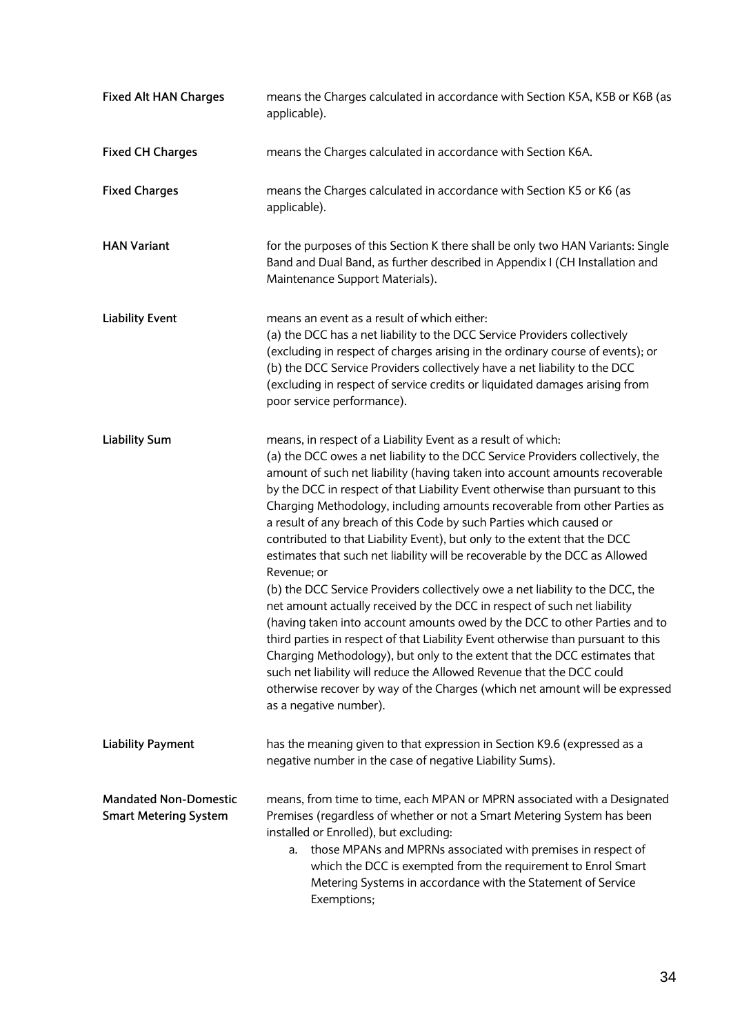| <b>Fixed Alt HAN Charges</b>                                 | means the Charges calculated in accordance with Section K5A, K5B or K6B (as<br>applicable).                                                                                                                                                                                                                                                                                                                                                                                                                                                                                                                                                                                                                                                                                                                                                                                                                                                                                                                                                                                                                                                                                                                                                   |
|--------------------------------------------------------------|-----------------------------------------------------------------------------------------------------------------------------------------------------------------------------------------------------------------------------------------------------------------------------------------------------------------------------------------------------------------------------------------------------------------------------------------------------------------------------------------------------------------------------------------------------------------------------------------------------------------------------------------------------------------------------------------------------------------------------------------------------------------------------------------------------------------------------------------------------------------------------------------------------------------------------------------------------------------------------------------------------------------------------------------------------------------------------------------------------------------------------------------------------------------------------------------------------------------------------------------------|
| <b>Fixed CH Charges</b>                                      | means the Charges calculated in accordance with Section K6A.                                                                                                                                                                                                                                                                                                                                                                                                                                                                                                                                                                                                                                                                                                                                                                                                                                                                                                                                                                                                                                                                                                                                                                                  |
| <b>Fixed Charges</b>                                         | means the Charges calculated in accordance with Section K5 or K6 (as<br>applicable).                                                                                                                                                                                                                                                                                                                                                                                                                                                                                                                                                                                                                                                                                                                                                                                                                                                                                                                                                                                                                                                                                                                                                          |
| <b>HAN Variant</b>                                           | for the purposes of this Section K there shall be only two HAN Variants: Single<br>Band and Dual Band, as further described in Appendix I (CH Installation and<br>Maintenance Support Materials).                                                                                                                                                                                                                                                                                                                                                                                                                                                                                                                                                                                                                                                                                                                                                                                                                                                                                                                                                                                                                                             |
| <b>Liability Event</b>                                       | means an event as a result of which either:<br>(a) the DCC has a net liability to the DCC Service Providers collectively<br>(excluding in respect of charges arising in the ordinary course of events); or<br>(b) the DCC Service Providers collectively have a net liability to the DCC<br>(excluding in respect of service credits or liquidated damages arising from<br>poor service performance).                                                                                                                                                                                                                                                                                                                                                                                                                                                                                                                                                                                                                                                                                                                                                                                                                                         |
| <b>Liability Sum</b>                                         | means, in respect of a Liability Event as a result of which:<br>(a) the DCC owes a net liability to the DCC Service Providers collectively, the<br>amount of such net liability (having taken into account amounts recoverable<br>by the DCC in respect of that Liability Event otherwise than pursuant to this<br>Charging Methodology, including amounts recoverable from other Parties as<br>a result of any breach of this Code by such Parties which caused or<br>contributed to that Liability Event), but only to the extent that the DCC<br>estimates that such net liability will be recoverable by the DCC as Allowed<br>Revenue; or<br>(b) the DCC Service Providers collectively owe a net liability to the DCC, the<br>net amount actually received by the DCC in respect of such net liability<br>(having taken into account amounts owed by the DCC to other Parties and to<br>third parties in respect of that Liability Event otherwise than pursuant to this<br>Charging Methodology), but only to the extent that the DCC estimates that<br>such net liability will reduce the Allowed Revenue that the DCC could<br>otherwise recover by way of the Charges (which net amount will be expressed<br>as a negative number). |
| <b>Liability Payment</b>                                     | has the meaning given to that expression in Section K9.6 (expressed as a<br>negative number in the case of negative Liability Sums).                                                                                                                                                                                                                                                                                                                                                                                                                                                                                                                                                                                                                                                                                                                                                                                                                                                                                                                                                                                                                                                                                                          |
| <b>Mandated Non-Domestic</b><br><b>Smart Metering System</b> | means, from time to time, each MPAN or MPRN associated with a Designated<br>Premises (regardless of whether or not a Smart Metering System has been<br>installed or Enrolled), but excluding:<br>a. those MPANs and MPRNs associated with premises in respect of<br>which the DCC is exempted from the requirement to Enrol Smart<br>Metering Systems in accordance with the Statement of Service<br>Exemptions;                                                                                                                                                                                                                                                                                                                                                                                                                                                                                                                                                                                                                                                                                                                                                                                                                              |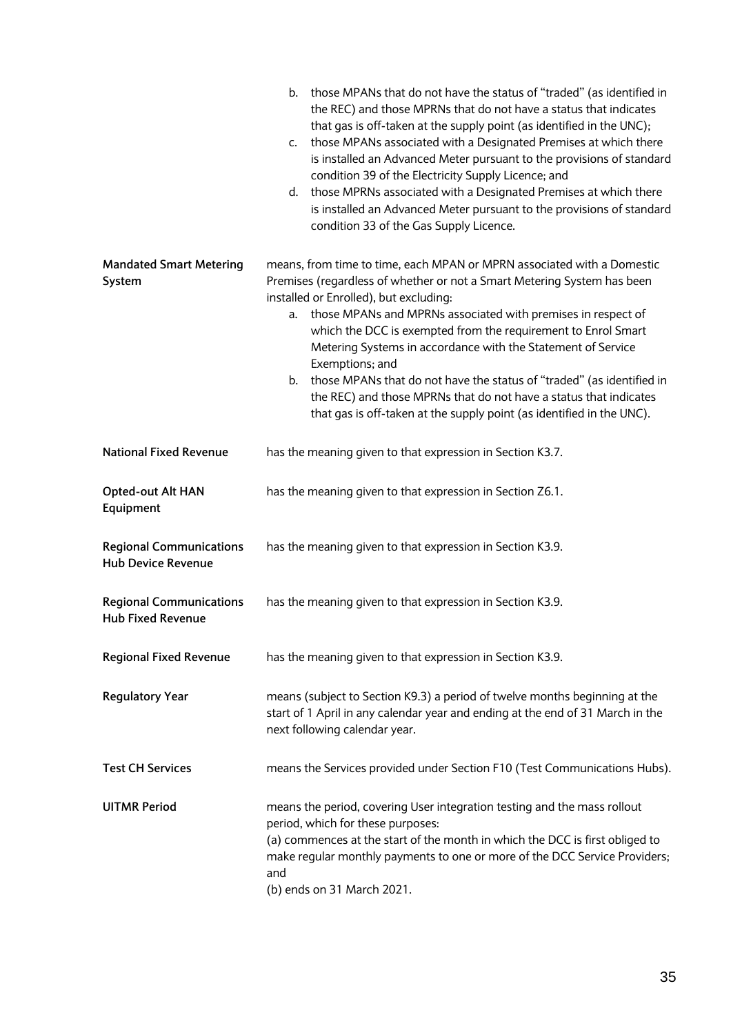|                                                             | b. those MPANs that do not have the status of "traded" (as identified in<br>the REC) and those MPRNs that do not have a status that indicates<br>that gas is off-taken at the supply point (as identified in the UNC);<br>those MPANs associated with a Designated Premises at which there<br>C.<br>is installed an Advanced Meter pursuant to the provisions of standard<br>condition 39 of the Electricity Supply Licence; and<br>d. those MPRNs associated with a Designated Premises at which there<br>is installed an Advanced Meter pursuant to the provisions of standard<br>condition 33 of the Gas Supply Licence. |
|-------------------------------------------------------------|-----------------------------------------------------------------------------------------------------------------------------------------------------------------------------------------------------------------------------------------------------------------------------------------------------------------------------------------------------------------------------------------------------------------------------------------------------------------------------------------------------------------------------------------------------------------------------------------------------------------------------|
| <b>Mandated Smart Metering</b>                              | means, from time to time, each MPAN or MPRN associated with a Domestic                                                                                                                                                                                                                                                                                                                                                                                                                                                                                                                                                      |
| System                                                      | Premises (regardless of whether or not a Smart Metering System has been                                                                                                                                                                                                                                                                                                                                                                                                                                                                                                                                                     |
|                                                             | installed or Enrolled), but excluding:<br>a. those MPANs and MPRNs associated with premises in respect of                                                                                                                                                                                                                                                                                                                                                                                                                                                                                                                   |
|                                                             | which the DCC is exempted from the requirement to Enrol Smart<br>Metering Systems in accordance with the Statement of Service<br>Exemptions; and                                                                                                                                                                                                                                                                                                                                                                                                                                                                            |
|                                                             | those MPANs that do not have the status of "traded" (as identified in<br>b.                                                                                                                                                                                                                                                                                                                                                                                                                                                                                                                                                 |
|                                                             | the REC) and those MPRNs that do not have a status that indicates                                                                                                                                                                                                                                                                                                                                                                                                                                                                                                                                                           |
|                                                             | that gas is off-taken at the supply point (as identified in the UNC).                                                                                                                                                                                                                                                                                                                                                                                                                                                                                                                                                       |
| <b>National Fixed Revenue</b>                               | has the meaning given to that expression in Section K3.7.                                                                                                                                                                                                                                                                                                                                                                                                                                                                                                                                                                   |
| Opted-out Alt HAN<br>Equipment                              | has the meaning given to that expression in Section Z6.1.                                                                                                                                                                                                                                                                                                                                                                                                                                                                                                                                                                   |
| <b>Regional Communications</b><br><b>Hub Device Revenue</b> | has the meaning given to that expression in Section K3.9.                                                                                                                                                                                                                                                                                                                                                                                                                                                                                                                                                                   |
| <b>Regional Communications</b><br><b>Hub Fixed Revenue</b>  | has the meaning given to that expression in Section K3.9.                                                                                                                                                                                                                                                                                                                                                                                                                                                                                                                                                                   |
| <b>Regional Fixed Revenue</b>                               | has the meaning given to that expression in Section K3.9.                                                                                                                                                                                                                                                                                                                                                                                                                                                                                                                                                                   |
| <b>Regulatory Year</b>                                      | means (subject to Section K9.3) a period of twelve months beginning at the<br>start of 1 April in any calendar year and ending at the end of 31 March in the<br>next following calendar year.                                                                                                                                                                                                                                                                                                                                                                                                                               |
| <b>Test CH Services</b>                                     | means the Services provided under Section F10 (Test Communications Hubs).                                                                                                                                                                                                                                                                                                                                                                                                                                                                                                                                                   |
| <b>UITMR Period</b>                                         | means the period, covering User integration testing and the mass rollout<br>period, which for these purposes:<br>(a) commences at the start of the month in which the DCC is first obliged to<br>make regular monthly payments to one or more of the DCC Service Providers;<br>and<br>(b) ends on 31 March 2021.                                                                                                                                                                                                                                                                                                            |